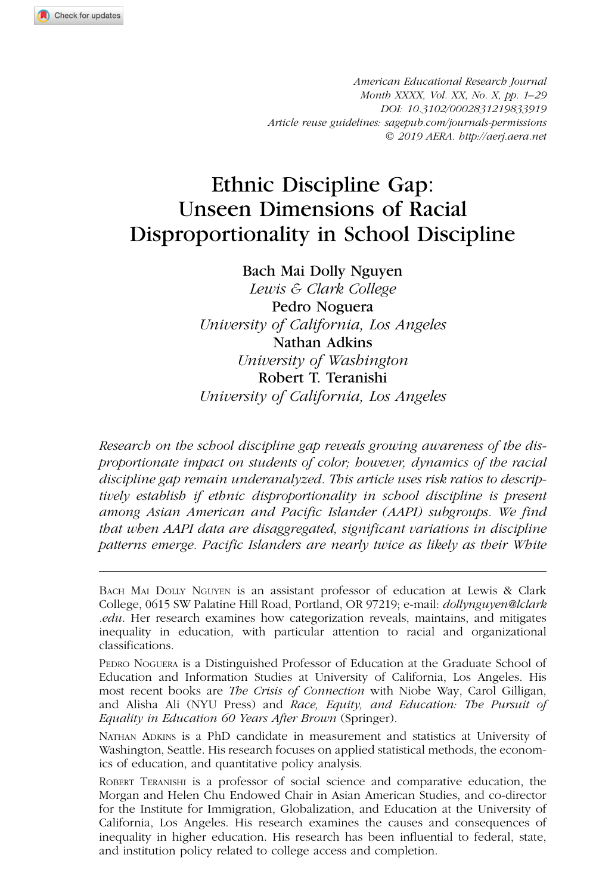American Educational Research Journal Month XXXX, Vol. XX, No. X, pp. 1–29 DOI: 10.3102/0002831219833919 Article reuse guidelines: sagepub.com/journals-permissions ! 2019 AERA. http://aerj.aera.net

# Ethnic Discipline Gap: Unseen Dimensions of Racial Disproportionality in School Discipline

Bach Mai Dolly Nguyen

Lewis & Clark College Pedro Noguera University of California, Los Angeles Nathan Adkins University of Washington Robert T. Teranishi University of California, Los Angeles

Research on the school discipline gap reveals growing awareness of the disproportionate impact on students of color; however, dynamics of the racial discipline gap remain underanalyzed. This article uses risk ratios to descriptively establish if ethnic disproportionality in school discipline is present among Asian American and Pacific Islander (AAPI) subgroups. We find that when AAPI data are disaggregated, significant variations in discipline patterns emerge. Pacific Islanders are nearly twice as likely as their White

NATHAN ADKINS is a PhD candidate in measurement and statistics at University of Washington, Seattle. His research focuses on applied statistical methods, the economics of education, and quantitative policy analysis.

ROBERT TERANISHI is a professor of social science and comparative education, the Morgan and Helen Chu Endowed Chair in Asian American Studies, and co-director for the Institute for Immigration, Globalization, and Education at the University of California, Los Angeles. His research examines the causes and consequences of inequality in higher education. His research has been influential to federal, state, and institution policy related to college access and completion.

BACH MAI DOLLY NGUYEN is an assistant professor of education at Lewis & Clark College, 0615 SW Palatine Hill Road, Portland, OR 97219; e-mail: dollynguyen@lclark .edu. Her research examines how categorization reveals, maintains, and mitigates inequality in education, with particular attention to racial and organizational classifications.

PEDRO NOGUERA is a Distinguished Professor of Education at the Graduate School of Education and Information Studies at University of California, Los Angeles. His most recent books are The Crisis of Connection with Niobe Way, Carol Gilligan, and Alisha Ali (NYU Press) and Race, Equity, and Education: The Pursuit of Equality in Education 60 Years After Brown (Springer).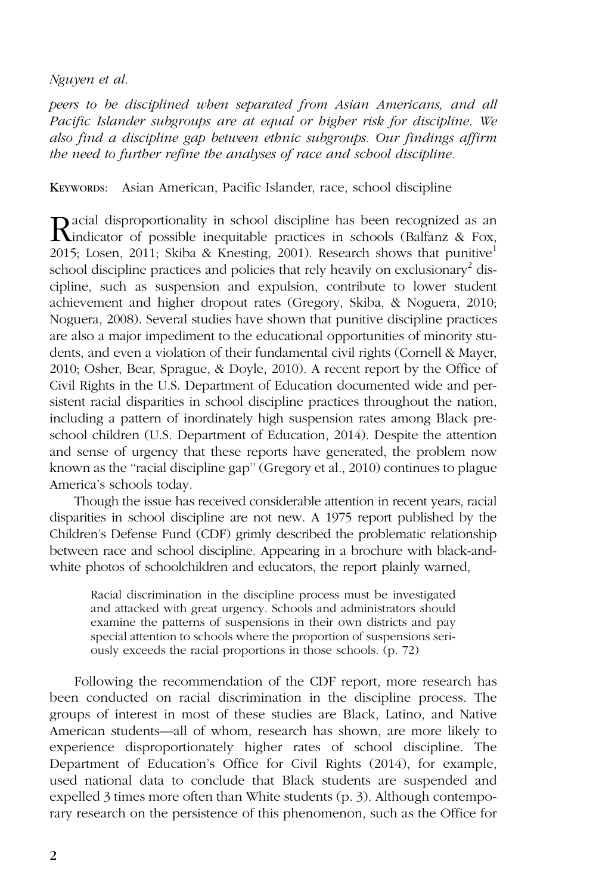peers to be disciplined when separated from Asian Americans, and all Pacific Islander subgroups are at equal or higher risk for discipline. We also find a discipline gap between ethnic subgroups. Our findings affirm the need to further refine the analyses of race and school discipline.

KEYWORDS: Asian American, Pacific Islander, race, school discipline

Racial disproportionality in school discipline has been recognized as an exhibitation of possible inequitable practices in schools (Balfanz & Fox, 2015; Losen, 2011; Skiba & Knesting, 2001). Research shows that punitive<sup>1</sup> school discipline practices and policies that rely heavily on exclusionary<sup>2</sup> discipline, such as suspension and expulsion, contribute to lower student achievement and higher dropout rates (Gregory, Skiba, & Noguera, 2010; Noguera, 2008). Several studies have shown that punitive discipline practices are also a major impediment to the educational opportunities of minority students, and even a violation of their fundamental civil rights (Cornell & Mayer, 2010; Osher, Bear, Sprague, & Doyle, 2010). A recent report by the Office of Civil Rights in the U.S. Department of Education documented wide and persistent racial disparities in school discipline practices throughout the nation, including a pattern of inordinately high suspension rates among Black preschool children (U.S. Department of Education, 2014). Despite the attention and sense of urgency that these reports have generated, the problem now known as the ''racial discipline gap'' (Gregory et al., 2010) continues to plague America's schools today.

Though the issue has received considerable attention in recent years, racial disparities in school discipline are not new. A 1975 report published by the Children's Defense Fund (CDF) grimly described the problematic relationship between race and school discipline. Appearing in a brochure with black-andwhite photos of schoolchildren and educators, the report plainly warned,

Racial discrimination in the discipline process must be investigated and attacked with great urgency. Schools and administrators should examine the patterns of suspensions in their own districts and pay special attention to schools where the proportion of suspensions seriously exceeds the racial proportions in those schools. (p. 72)

Following the recommendation of the CDF report, more research has been conducted on racial discrimination in the discipline process. The groups of interest in most of these studies are Black, Latino, and Native American students—all of whom, research has shown, are more likely to experience disproportionately higher rates of school discipline. The Department of Education's Office for Civil Rights (2014), for example, used national data to conclude that Black students are suspended and expelled 3 times more often than White students (p. 3). Although contemporary research on the persistence of this phenomenon, such as the Office for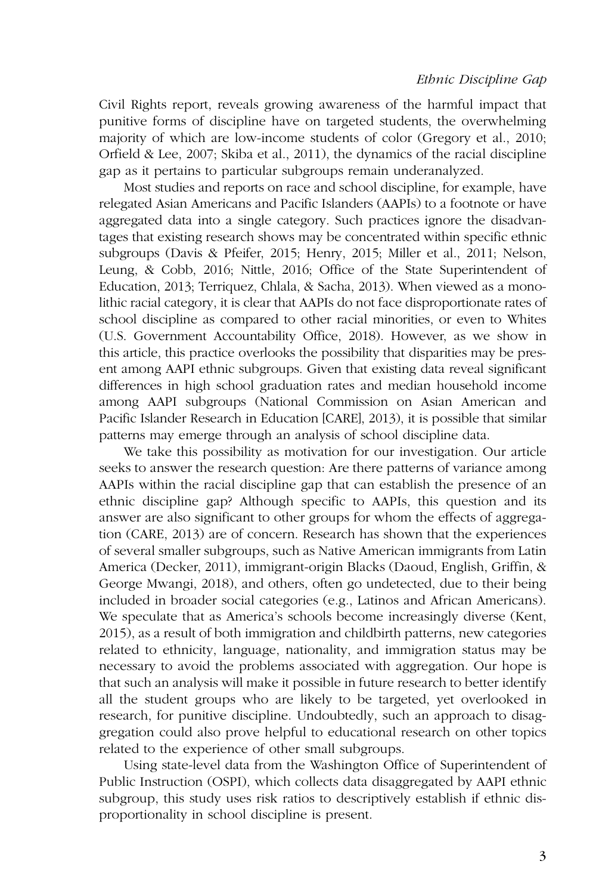Civil Rights report, reveals growing awareness of the harmful impact that punitive forms of discipline have on targeted students, the overwhelming majority of which are low-income students of color (Gregory et al., 2010; Orfield & Lee, 2007; Skiba et al., 2011), the dynamics of the racial discipline gap as it pertains to particular subgroups remain underanalyzed.

Most studies and reports on race and school discipline, for example, have relegated Asian Americans and Pacific Islanders (AAPIs) to a footnote or have aggregated data into a single category. Such practices ignore the disadvantages that existing research shows may be concentrated within specific ethnic subgroups (Davis & Pfeifer, 2015; Henry, 2015; Miller et al., 2011; Nelson, Leung, & Cobb, 2016; Nittle, 2016; Office of the State Superintendent of Education, 2013; Terriquez, Chlala, & Sacha, 2013). When viewed as a monolithic racial category, it is clear that AAPIs do not face disproportionate rates of school discipline as compared to other racial minorities, or even to Whites (U.S. Government Accountability Office, 2018). However, as we show in this article, this practice overlooks the possibility that disparities may be present among AAPI ethnic subgroups. Given that existing data reveal significant differences in high school graduation rates and median household income among AAPI subgroups (National Commission on Asian American and Pacific Islander Research in Education [CARE], 2013), it is possible that similar patterns may emerge through an analysis of school discipline data.

We take this possibility as motivation for our investigation. Our article seeks to answer the research question: Are there patterns of variance among AAPIs within the racial discipline gap that can establish the presence of an ethnic discipline gap? Although specific to AAPIs, this question and its answer are also significant to other groups for whom the effects of aggregation (CARE, 2013) are of concern. Research has shown that the experiences of several smaller subgroups, such as Native American immigrants from Latin America (Decker, 2011), immigrant-origin Blacks (Daoud, English, Griffin, & George Mwangi, 2018), and others, often go undetected, due to their being included in broader social categories (e.g., Latinos and African Americans). We speculate that as America's schools become increasingly diverse (Kent, 2015), as a result of both immigration and childbirth patterns, new categories related to ethnicity, language, nationality, and immigration status may be necessary to avoid the problems associated with aggregation. Our hope is that such an analysis will make it possible in future research to better identify all the student groups who are likely to be targeted, yet overlooked in research, for punitive discipline. Undoubtedly, such an approach to disaggregation could also prove helpful to educational research on other topics related to the experience of other small subgroups.

Using state-level data from the Washington Office of Superintendent of Public Instruction (OSPI), which collects data disaggregated by AAPI ethnic subgroup, this study uses risk ratios to descriptively establish if ethnic disproportionality in school discipline is present.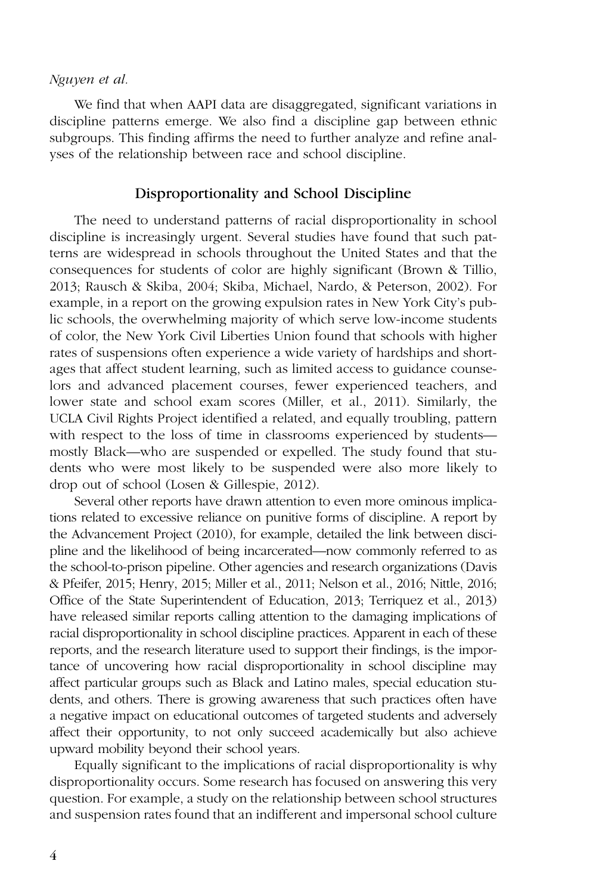We find that when AAPI data are disaggregated, significant variations in discipline patterns emerge. We also find a discipline gap between ethnic subgroups. This finding affirms the need to further analyze and refine analyses of the relationship between race and school discipline.

## Disproportionality and School Discipline

The need to understand patterns of racial disproportionality in school discipline is increasingly urgent. Several studies have found that such patterns are widespread in schools throughout the United States and that the consequences for students of color are highly significant (Brown & Tillio, 2013; Rausch & Skiba, 2004; Skiba, Michael, Nardo, & Peterson, 2002). For example, in a report on the growing expulsion rates in New York City's public schools, the overwhelming majority of which serve low-income students of color, the New York Civil Liberties Union found that schools with higher rates of suspensions often experience a wide variety of hardships and shortages that affect student learning, such as limited access to guidance counselors and advanced placement courses, fewer experienced teachers, and lower state and school exam scores (Miller, et al., 2011). Similarly, the UCLA Civil Rights Project identified a related, and equally troubling, pattern with respect to the loss of time in classrooms experienced by students mostly Black—who are suspended or expelled. The study found that students who were most likely to be suspended were also more likely to drop out of school (Losen & Gillespie, 2012).

Several other reports have drawn attention to even more ominous implications related to excessive reliance on punitive forms of discipline. A report by the Advancement Project (2010), for example, detailed the link between discipline and the likelihood of being incarcerated—now commonly referred to as the school-to-prison pipeline. Other agencies and research organizations (Davis & Pfeifer, 2015; Henry, 2015; Miller et al., 2011; Nelson et al., 2016; Nittle, 2016; Office of the State Superintendent of Education, 2013; Terriquez et al., 2013) have released similar reports calling attention to the damaging implications of racial disproportionality in school discipline practices. Apparent in each of these reports, and the research literature used to support their findings, is the importance of uncovering how racial disproportionality in school discipline may affect particular groups such as Black and Latino males, special education students, and others. There is growing awareness that such practices often have a negative impact on educational outcomes of targeted students and adversely affect their opportunity, to not only succeed academically but also achieve upward mobility beyond their school years.

Equally significant to the implications of racial disproportionality is why disproportionality occurs. Some research has focused on answering this very question. For example, a study on the relationship between school structures and suspension rates found that an indifferent and impersonal school culture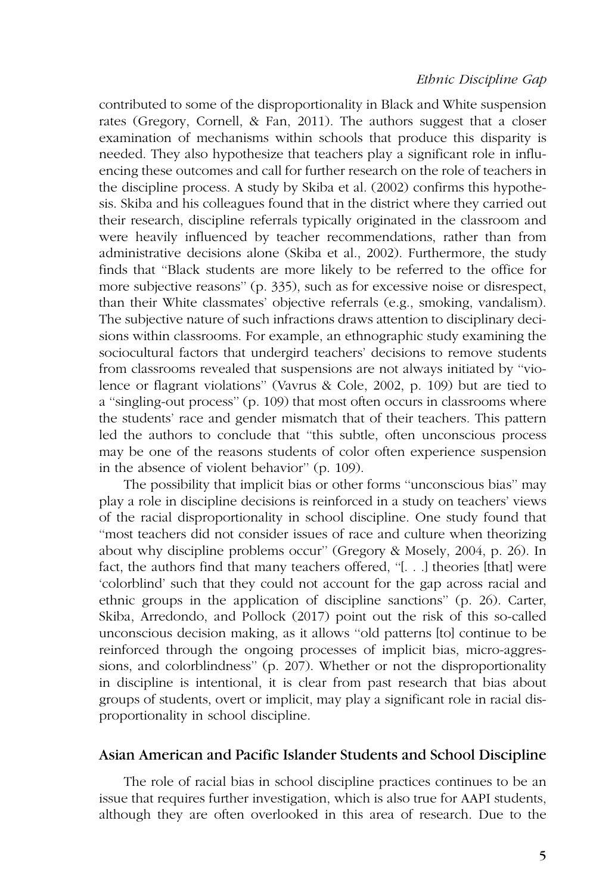contributed to some of the disproportionality in Black and White suspension rates (Gregory, Cornell, & Fan, 2011). The authors suggest that a closer examination of mechanisms within schools that produce this disparity is needed. They also hypothesize that teachers play a significant role in influencing these outcomes and call for further research on the role of teachers in the discipline process. A study by Skiba et al. (2002) confirms this hypothesis. Skiba and his colleagues found that in the district where they carried out their research, discipline referrals typically originated in the classroom and were heavily influenced by teacher recommendations, rather than from administrative decisions alone (Skiba et al., 2002). Furthermore, the study finds that ''Black students are more likely to be referred to the office for more subjective reasons'' (p. 335), such as for excessive noise or disrespect, than their White classmates' objective referrals (e.g., smoking, vandalism). The subjective nature of such infractions draws attention to disciplinary decisions within classrooms. For example, an ethnographic study examining the sociocultural factors that undergird teachers' decisions to remove students from classrooms revealed that suspensions are not always initiated by ''violence or flagrant violations'' (Vavrus & Cole, 2002, p. 109) but are tied to a ''singling-out process'' (p. 109) that most often occurs in classrooms where the students' race and gender mismatch that of their teachers. This pattern led the authors to conclude that ''this subtle, often unconscious process may be one of the reasons students of color often experience suspension in the absence of violent behavior'' (p. 109).

The possibility that implicit bias or other forms ''unconscious bias'' may play a role in discipline decisions is reinforced in a study on teachers' views of the racial disproportionality in school discipline. One study found that ''most teachers did not consider issues of race and culture when theorizing about why discipline problems occur'' (Gregory & Mosely, 2004, p. 26). In fact, the authors find that many teachers offered, ''[. . .] theories [that] were 'colorblind' such that they could not account for the gap across racial and ethnic groups in the application of discipline sanctions'' (p. 26). Carter, Skiba, Arredondo, and Pollock (2017) point out the risk of this so-called unconscious decision making, as it allows ''old patterns [to] continue to be reinforced through the ongoing processes of implicit bias, micro-aggressions, and colorblindness'' (p. 207). Whether or not the disproportionality in discipline is intentional, it is clear from past research that bias about groups of students, overt or implicit, may play a significant role in racial disproportionality in school discipline.

## Asian American and Pacific Islander Students and School Discipline

The role of racial bias in school discipline practices continues to be an issue that requires further investigation, which is also true for AAPI students, although they are often overlooked in this area of research. Due to the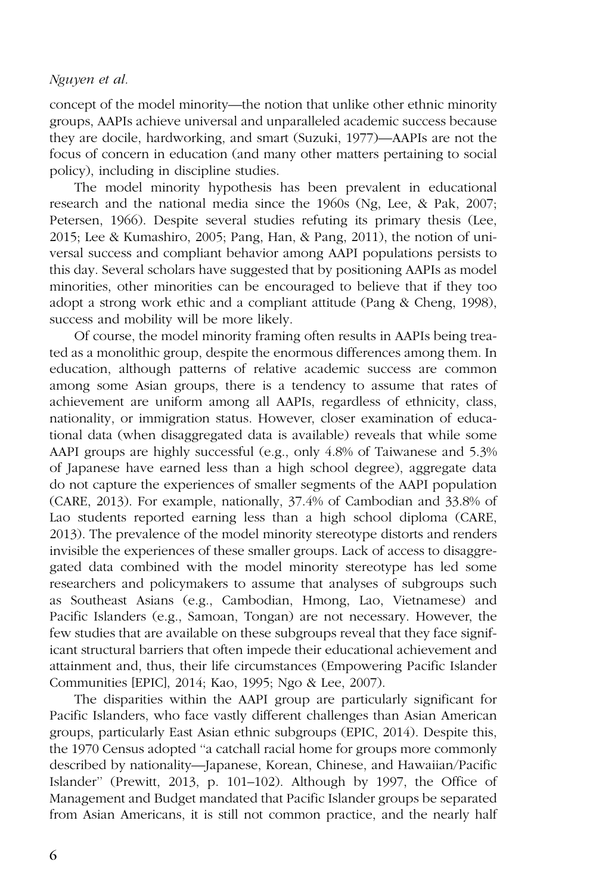concept of the model minority—the notion that unlike other ethnic minority groups, AAPIs achieve universal and unparalleled academic success because they are docile, hardworking, and smart (Suzuki, 1977)—AAPIs are not the focus of concern in education (and many other matters pertaining to social policy), including in discipline studies.

The model minority hypothesis has been prevalent in educational research and the national media since the 1960s (Ng, Lee, & Pak, 2007; Petersen, 1966). Despite several studies refuting its primary thesis (Lee, 2015; Lee & Kumashiro, 2005; Pang, Han, & Pang, 2011), the notion of universal success and compliant behavior among AAPI populations persists to this day. Several scholars have suggested that by positioning AAPIs as model minorities, other minorities can be encouraged to believe that if they too adopt a strong work ethic and a compliant attitude (Pang & Cheng, 1998), success and mobility will be more likely.

Of course, the model minority framing often results in AAPIs being treated as a monolithic group, despite the enormous differences among them. In education, although patterns of relative academic success are common among some Asian groups, there is a tendency to assume that rates of achievement are uniform among all AAPIs, regardless of ethnicity, class, nationality, or immigration status. However, closer examination of educational data (when disaggregated data is available) reveals that while some AAPI groups are highly successful (e.g., only 4.8% of Taiwanese and 5.3% of Japanese have earned less than a high school degree), aggregate data do not capture the experiences of smaller segments of the AAPI population (CARE, 2013). For example, nationally, 37.4% of Cambodian and 33.8% of Lao students reported earning less than a high school diploma (CARE, 2013). The prevalence of the model minority stereotype distorts and renders invisible the experiences of these smaller groups. Lack of access to disaggregated data combined with the model minority stereotype has led some researchers and policymakers to assume that analyses of subgroups such as Southeast Asians (e.g., Cambodian, Hmong, Lao, Vietnamese) and Pacific Islanders (e.g., Samoan, Tongan) are not necessary. However, the few studies that are available on these subgroups reveal that they face significant structural barriers that often impede their educational achievement and attainment and, thus, their life circumstances (Empowering Pacific Islander Communities [EPIC], 2014; Kao, 1995; Ngo & Lee, 2007).

The disparities within the AAPI group are particularly significant for Pacific Islanders, who face vastly different challenges than Asian American groups, particularly East Asian ethnic subgroups (EPIC, 2014). Despite this, the 1970 Census adopted ''a catchall racial home for groups more commonly described by nationality—Japanese, Korean, Chinese, and Hawaiian/Pacific Islander'' (Prewitt, 2013, p. 101–102). Although by 1997, the Office of Management and Budget mandated that Pacific Islander groups be separated from Asian Americans, it is still not common practice, and the nearly half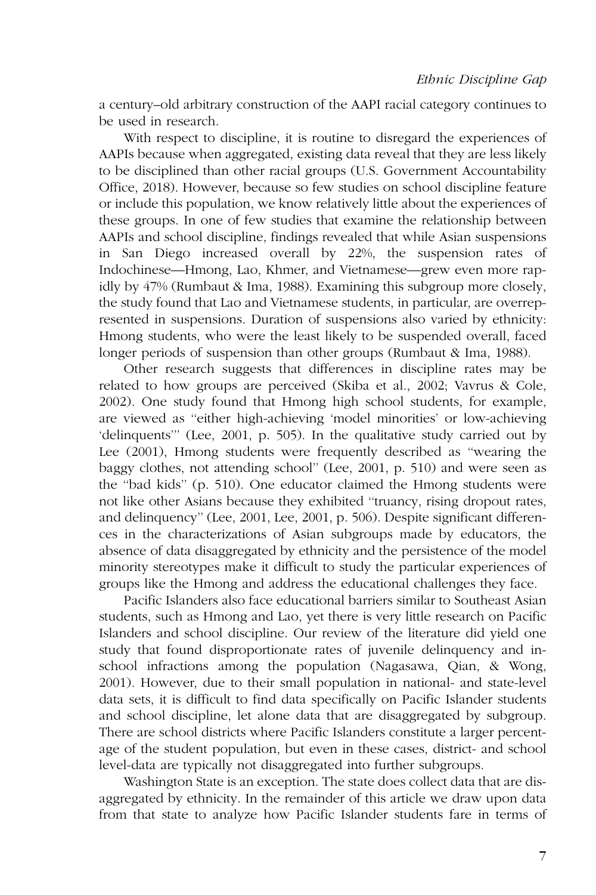a century–old arbitrary construction of the AAPI racial category continues to be used in research.

With respect to discipline, it is routine to disregard the experiences of AAPIs because when aggregated, existing data reveal that they are less likely to be disciplined than other racial groups (U.S. Government Accountability Office, 2018). However, because so few studies on school discipline feature or include this population, we know relatively little about the experiences of these groups. In one of few studies that examine the relationship between AAPIs and school discipline, findings revealed that while Asian suspensions in San Diego increased overall by 22%, the suspension rates of Indochinese—Hmong, Lao, Khmer, and Vietnamese—grew even more rapidly by 47% (Rumbaut & Ima, 1988). Examining this subgroup more closely, the study found that Lao and Vietnamese students, in particular, are overrepresented in suspensions. Duration of suspensions also varied by ethnicity: Hmong students, who were the least likely to be suspended overall, faced longer periods of suspension than other groups (Rumbaut & Ima, 1988).

Other research suggests that differences in discipline rates may be related to how groups are perceived (Skiba et al., 2002; Vavrus & Cole, 2002). One study found that Hmong high school students, for example, are viewed as ''either high-achieving 'model minorities' or low-achieving 'delinquents''' (Lee, 2001, p. 505). In the qualitative study carried out by Lee (2001), Hmong students were frequently described as ''wearing the baggy clothes, not attending school'' (Lee, 2001, p. 510) and were seen as the ''bad kids'' (p. 510). One educator claimed the Hmong students were not like other Asians because they exhibited ''truancy, rising dropout rates, and delinquency'' (Lee, 2001, Lee, 2001, p. 506). Despite significant differences in the characterizations of Asian subgroups made by educators, the absence of data disaggregated by ethnicity and the persistence of the model minority stereotypes make it difficult to study the particular experiences of groups like the Hmong and address the educational challenges they face.

Pacific Islanders also face educational barriers similar to Southeast Asian students, such as Hmong and Lao, yet there is very little research on Pacific Islanders and school discipline. Our review of the literature did yield one study that found disproportionate rates of juvenile delinquency and inschool infractions among the population (Nagasawa, Qian, & Wong, 2001). However, due to their small population in national- and state-level data sets, it is difficult to find data specifically on Pacific Islander students and school discipline, let alone data that are disaggregated by subgroup. There are school districts where Pacific Islanders constitute a larger percentage of the student population, but even in these cases, district- and school level-data are typically not disaggregated into further subgroups.

Washington State is an exception. The state does collect data that are disaggregated by ethnicity. In the remainder of this article we draw upon data from that state to analyze how Pacific Islander students fare in terms of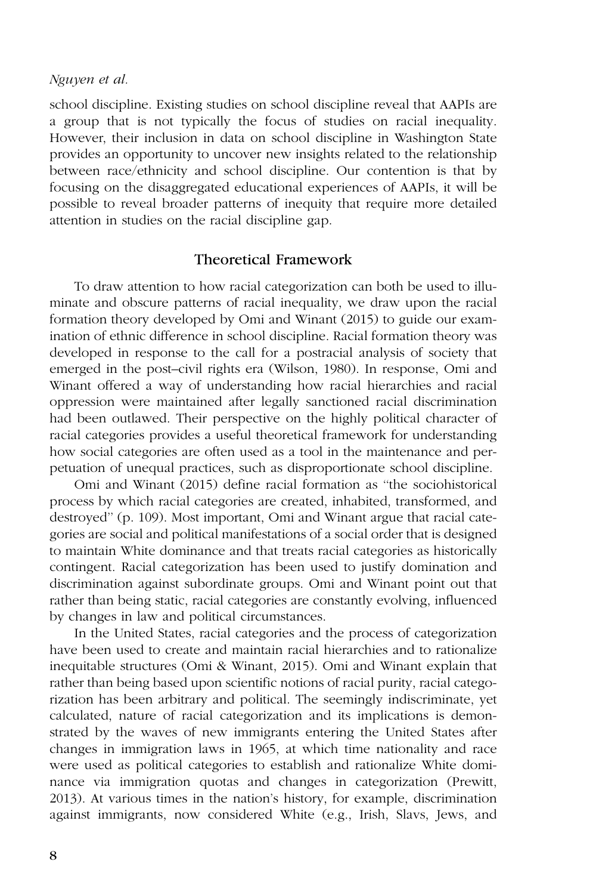school discipline. Existing studies on school discipline reveal that AAPIs are a group that is not typically the focus of studies on racial inequality. However, their inclusion in data on school discipline in Washington State provides an opportunity to uncover new insights related to the relationship between race/ethnicity and school discipline. Our contention is that by focusing on the disaggregated educational experiences of AAPIs, it will be possible to reveal broader patterns of inequity that require more detailed attention in studies on the racial discipline gap.

# Theoretical Framework

To draw attention to how racial categorization can both be used to illuminate and obscure patterns of racial inequality, we draw upon the racial formation theory developed by Omi and Winant (2015) to guide our examination of ethnic difference in school discipline. Racial formation theory was developed in response to the call for a postracial analysis of society that emerged in the post–civil rights era (Wilson, 1980). In response, Omi and Winant offered a way of understanding how racial hierarchies and racial oppression were maintained after legally sanctioned racial discrimination had been outlawed. Their perspective on the highly political character of racial categories provides a useful theoretical framework for understanding how social categories are often used as a tool in the maintenance and perpetuation of unequal practices, such as disproportionate school discipline.

Omi and Winant (2015) define racial formation as ''the sociohistorical process by which racial categories are created, inhabited, transformed, and destroyed'' (p. 109). Most important, Omi and Winant argue that racial categories are social and political manifestations of a social order that is designed to maintain White dominance and that treats racial categories as historically contingent. Racial categorization has been used to justify domination and discrimination against subordinate groups. Omi and Winant point out that rather than being static, racial categories are constantly evolving, influenced by changes in law and political circumstances.

In the United States, racial categories and the process of categorization have been used to create and maintain racial hierarchies and to rationalize inequitable structures (Omi & Winant, 2015). Omi and Winant explain that rather than being based upon scientific notions of racial purity, racial categorization has been arbitrary and political. The seemingly indiscriminate, yet calculated, nature of racial categorization and its implications is demonstrated by the waves of new immigrants entering the United States after changes in immigration laws in 1965, at which time nationality and race were used as political categories to establish and rationalize White dominance via immigration quotas and changes in categorization (Prewitt, 2013). At various times in the nation's history, for example, discrimination against immigrants, now considered White (e.g., Irish, Slavs, Jews, and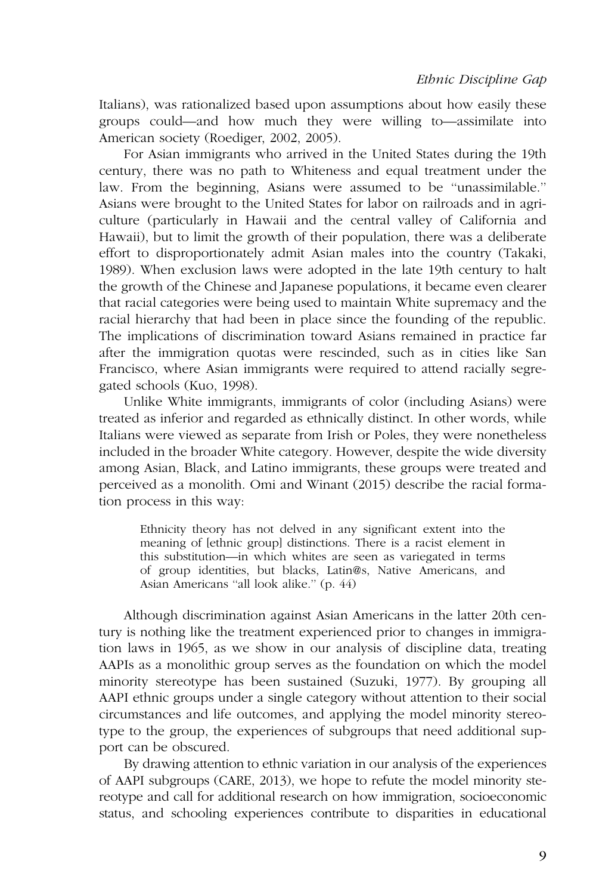Italians), was rationalized based upon assumptions about how easily these groups could—and how much they were willing to—assimilate into American society (Roediger, 2002, 2005).

For Asian immigrants who arrived in the United States during the 19th century, there was no path to Whiteness and equal treatment under the law. From the beginning, Asians were assumed to be ''unassimilable.'' Asians were brought to the United States for labor on railroads and in agriculture (particularly in Hawaii and the central valley of California and Hawaii), but to limit the growth of their population, there was a deliberate effort to disproportionately admit Asian males into the country (Takaki, 1989). When exclusion laws were adopted in the late 19th century to halt the growth of the Chinese and Japanese populations, it became even clearer that racial categories were being used to maintain White supremacy and the racial hierarchy that had been in place since the founding of the republic. The implications of discrimination toward Asians remained in practice far after the immigration quotas were rescinded, such as in cities like San Francisco, where Asian immigrants were required to attend racially segregated schools (Kuo, 1998).

Unlike White immigrants, immigrants of color (including Asians) were treated as inferior and regarded as ethnically distinct. In other words, while Italians were viewed as separate from Irish or Poles, they were nonetheless included in the broader White category. However, despite the wide diversity among Asian, Black, and Latino immigrants, these groups were treated and perceived as a monolith. Omi and Winant (2015) describe the racial formation process in this way:

Ethnicity theory has not delved in any significant extent into the meaning of [ethnic group] distinctions. There is a racist element in this substitution—in which whites are seen as variegated in terms of group identities, but blacks, Latin@s, Native Americans, and Asian Americans ''all look alike.'' (p. 44)

Although discrimination against Asian Americans in the latter 20th century is nothing like the treatment experienced prior to changes in immigration laws in 1965, as we show in our analysis of discipline data, treating AAPIs as a monolithic group serves as the foundation on which the model minority stereotype has been sustained (Suzuki, 1977). By grouping all AAPI ethnic groups under a single category without attention to their social circumstances and life outcomes, and applying the model minority stereotype to the group, the experiences of subgroups that need additional support can be obscured.

By drawing attention to ethnic variation in our analysis of the experiences of AAPI subgroups (CARE, 2013), we hope to refute the model minority stereotype and call for additional research on how immigration, socioeconomic status, and schooling experiences contribute to disparities in educational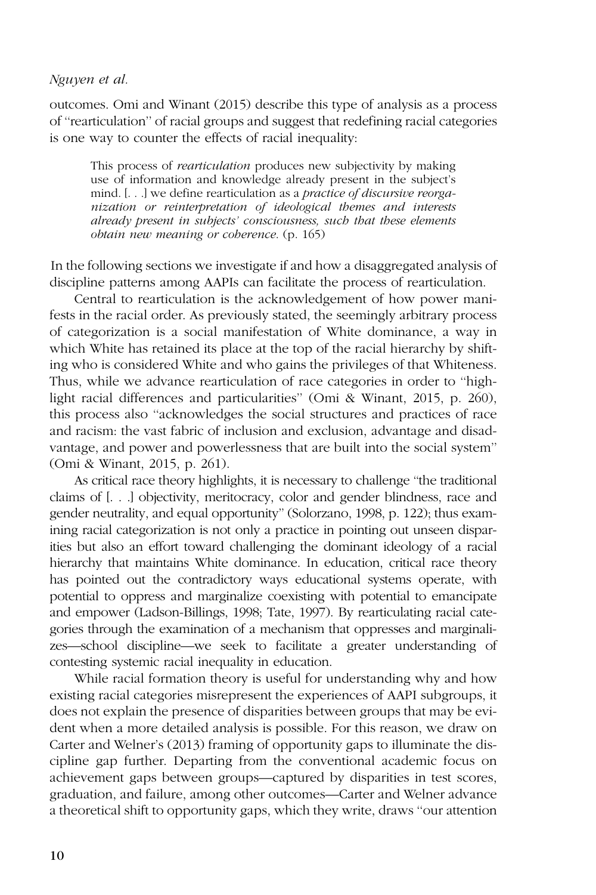outcomes. Omi and Winant (2015) describe this type of analysis as a process of ''rearticulation'' of racial groups and suggest that redefining racial categories is one way to counter the effects of racial inequality:

This process of rearticulation produces new subjectivity by making use of information and knowledge already present in the subject's mind. [. . .] we define rearticulation as a practice of discursive reorganization or reinterpretation of ideological themes and interests already present in subjects' consciousness, such that these elements obtain new meaning or coherence. (p. 165)

In the following sections we investigate if and how a disaggregated analysis of discipline patterns among AAPIs can facilitate the process of rearticulation.

Central to rearticulation is the acknowledgement of how power manifests in the racial order. As previously stated, the seemingly arbitrary process of categorization is a social manifestation of White dominance, a way in which White has retained its place at the top of the racial hierarchy by shifting who is considered White and who gains the privileges of that Whiteness. Thus, while we advance rearticulation of race categories in order to ''highlight racial differences and particularities'' (Omi & Winant, 2015, p. 260), this process also ''acknowledges the social structures and practices of race and racism: the vast fabric of inclusion and exclusion, advantage and disadvantage, and power and powerlessness that are built into the social system'' (Omi & Winant, 2015, p. 261).

As critical race theory highlights, it is necessary to challenge ''the traditional claims of [. . .] objectivity, meritocracy, color and gender blindness, race and gender neutrality, and equal opportunity'' (Solorzano, 1998, p. 122); thus examining racial categorization is not only a practice in pointing out unseen disparities but also an effort toward challenging the dominant ideology of a racial hierarchy that maintains White dominance. In education, critical race theory has pointed out the contradictory ways educational systems operate, with potential to oppress and marginalize coexisting with potential to emancipate and empower (Ladson-Billings, 1998; Tate, 1997). By rearticulating racial categories through the examination of a mechanism that oppresses and marginalizes—school discipline—we seek to facilitate a greater understanding of contesting systemic racial inequality in education.

While racial formation theory is useful for understanding why and how existing racial categories misrepresent the experiences of AAPI subgroups, it does not explain the presence of disparities between groups that may be evident when a more detailed analysis is possible. For this reason, we draw on Carter and Welner's (2013) framing of opportunity gaps to illuminate the discipline gap further. Departing from the conventional academic focus on achievement gaps between groups—captured by disparities in test scores, graduation, and failure, among other outcomes—Carter and Welner advance a theoretical shift to opportunity gaps, which they write, draws ''our attention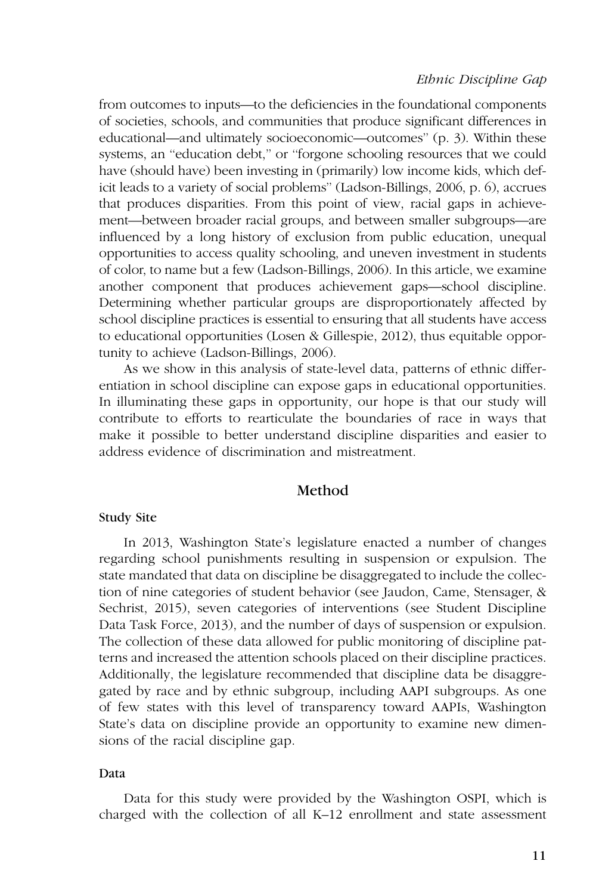from outcomes to inputs—to the deficiencies in the foundational components of societies, schools, and communities that produce significant differences in educational—and ultimately socioeconomic—outcomes'' (p. 3). Within these systems, an ''education debt,'' or ''forgone schooling resources that we could have (should have) been investing in (primarily) low income kids, which deficit leads to a variety of social problems'' (Ladson-Billings, 2006, p. 6), accrues that produces disparities. From this point of view, racial gaps in achievement—between broader racial groups, and between smaller subgroups—are influenced by a long history of exclusion from public education, unequal opportunities to access quality schooling, and uneven investment in students of color, to name but a few (Ladson-Billings, 2006). In this article, we examine another component that produces achievement gaps—school discipline. Determining whether particular groups are disproportionately affected by school discipline practices is essential to ensuring that all students have access to educational opportunities (Losen & Gillespie, 2012), thus equitable opportunity to achieve (Ladson-Billings, 2006).

As we show in this analysis of state-level data, patterns of ethnic differentiation in school discipline can expose gaps in educational opportunities. In illuminating these gaps in opportunity, our hope is that our study will contribute to efforts to rearticulate the boundaries of race in ways that make it possible to better understand discipline disparities and easier to address evidence of discrimination and mistreatment.

# Method

#### Study Site

In 2013, Washington State's legislature enacted a number of changes regarding school punishments resulting in suspension or expulsion. The state mandated that data on discipline be disaggregated to include the collection of nine categories of student behavior (see Jaudon, Came, Stensager, & Sechrist, 2015), seven categories of interventions (see Student Discipline Data Task Force, 2013), and the number of days of suspension or expulsion. The collection of these data allowed for public monitoring of discipline patterns and increased the attention schools placed on their discipline practices. Additionally, the legislature recommended that discipline data be disaggregated by race and by ethnic subgroup, including AAPI subgroups. As one of few states with this level of transparency toward AAPIs, Washington State's data on discipline provide an opportunity to examine new dimensions of the racial discipline gap.

## Data

Data for this study were provided by the Washington OSPI, which is charged with the collection of all K–12 enrollment and state assessment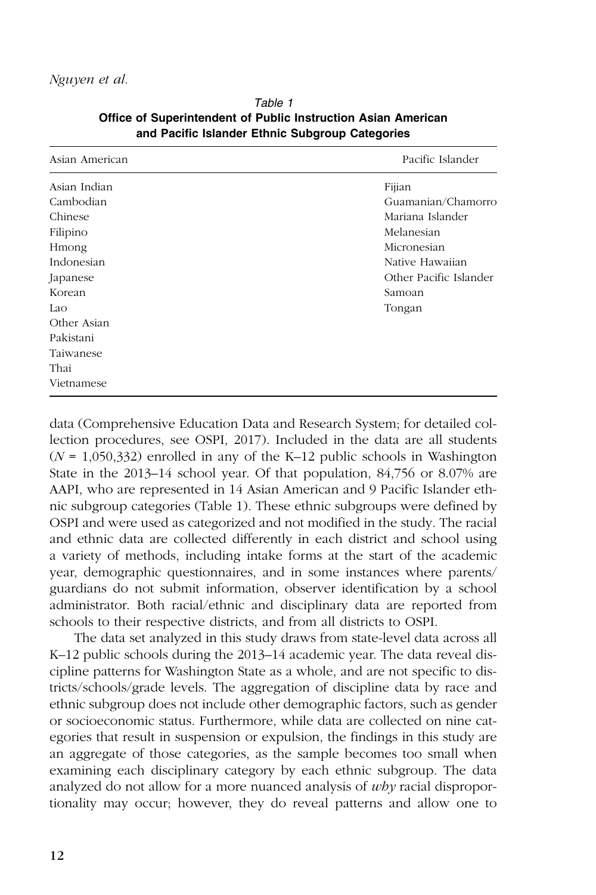| Asian American | Pacific Islander       |
|----------------|------------------------|
| Asian Indian   | Fijian                 |
| Cambodian      | Guamanian/Chamorro     |
| Chinese        | Mariana Islander       |
| Filipino       | Melanesian             |
| Hmong          | Micronesian            |
| Indonesian     | Native Hawaiian        |
| Japanese       | Other Pacific Islander |
| Korean         | Samoan                 |
| Lao            | Tongan                 |
| Other Asian    |                        |
| Pakistani      |                        |
| Taiwanese      |                        |
| Thai           |                        |
| Vietnamese     |                        |

Table 1 Office of Superintendent of Public Instruction Asian American and Pacific Islander Ethnic Subgroup Categories

data (Comprehensive Education Data and Research System; for detailed collection procedures, see OSPI, 2017). Included in the data are all students  $(N = 1,050,332)$  enrolled in any of the K–12 public schools in Washington State in the 2013–14 school year. Of that population, 84,756 or 8.07% are AAPI, who are represented in 14 Asian American and 9 Pacific Islander ethnic subgroup categories (Table 1). These ethnic subgroups were defined by OSPI and were used as categorized and not modified in the study. The racial and ethnic data are collected differently in each district and school using a variety of methods, including intake forms at the start of the academic year, demographic questionnaires, and in some instances where parents/ guardians do not submit information, observer identification by a school administrator. Both racial/ethnic and disciplinary data are reported from schools to their respective districts, and from all districts to OSPI.

The data set analyzed in this study draws from state-level data across all K–12 public schools during the 2013–14 academic year. The data reveal discipline patterns for Washington State as a whole, and are not specific to districts/schools/grade levels. The aggregation of discipline data by race and ethnic subgroup does not include other demographic factors, such as gender or socioeconomic status. Furthermore, while data are collected on nine categories that result in suspension or expulsion, the findings in this study are an aggregate of those categories, as the sample becomes too small when examining each disciplinary category by each ethnic subgroup. The data analyzed do not allow for a more nuanced analysis of why racial disproportionality may occur; however, they do reveal patterns and allow one to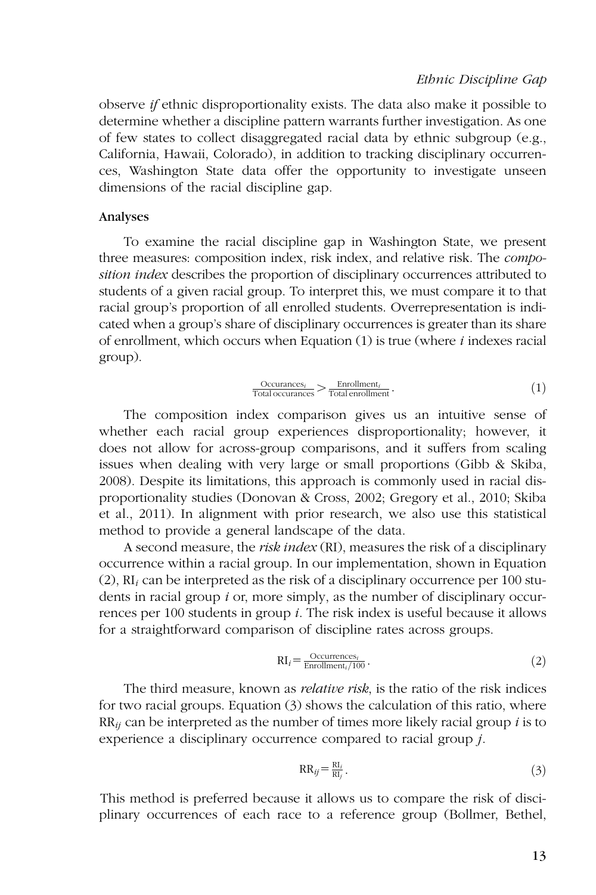observe if ethnic disproportionality exists. The data also make it possible to determine whether a discipline pattern warrants further investigation. As one of few states to collect disaggregated racial data by ethnic subgroup (e.g., California, Hawaii, Colorado), in addition to tracking disciplinary occurrences, Washington State data offer the opportunity to investigate unseen dimensions of the racial discipline gap.

#### Analyses

To examine the racial discipline gap in Washington State, we present three measures: composition index, risk index, and relative risk. The composition index describes the proportion of disciplinary occurrences attributed to students of a given racial group. To interpret this, we must compare it to that racial group's proportion of all enrolled students. Overrepresentation is indicated when a group's share of disciplinary occurrences is greater than its share of enrollment, which occurs when Equation  $(1)$  is true (where *i* indexes racial group).

$$
\frac{\text{Occurances}_i}{\text{Total occurrences}_i} > \frac{\text{Enrollment}_i}{\text{Total error}}
$$
\n(1)

The composition index comparison gives us an intuitive sense of whether each racial group experiences disproportionality; however, it does not allow for across-group comparisons, and it suffers from scaling issues when dealing with very large or small proportions (Gibb & Skiba, 2008). Despite its limitations, this approach is commonly used in racial disproportionality studies (Donovan & Cross, 2002; Gregory et al., 2010; Skiba et al., 2011). In alignment with prior research, we also use this statistical method to provide a general landscape of the data.

A second measure, the *risk index* (RI), measures the risk of a disciplinary occurrence within a racial group. In our implementation, shown in Equation (2),  $RI_i$  can be interpreted as the risk of a disciplinary occurrence per 100 students in racial group i or, more simply, as the number of disciplinary occurrences per 100 students in group *i*. The risk index is useful because it allows for a straightforward comparison of discipline rates across groups.

$$
RI_i = \frac{Occurrences_i}{Enrollment_i/100}.
$$
\n(2)

The third measure, known as *relative risk*, is the ratio of the risk indices for two racial groups. Equation (3) shows the calculation of this ratio, where  $RR_{ij}$  can be interpreted as the number of times more likely racial group i is to experience a disciplinary occurrence compared to racial group j.

$$
RR_{ij} = \frac{RI_i}{RI_j}.
$$
\n(3)

This method is preferred because it allows us to compare the risk of disciplinary occurrences of each race to a reference group (Bollmer, Bethel,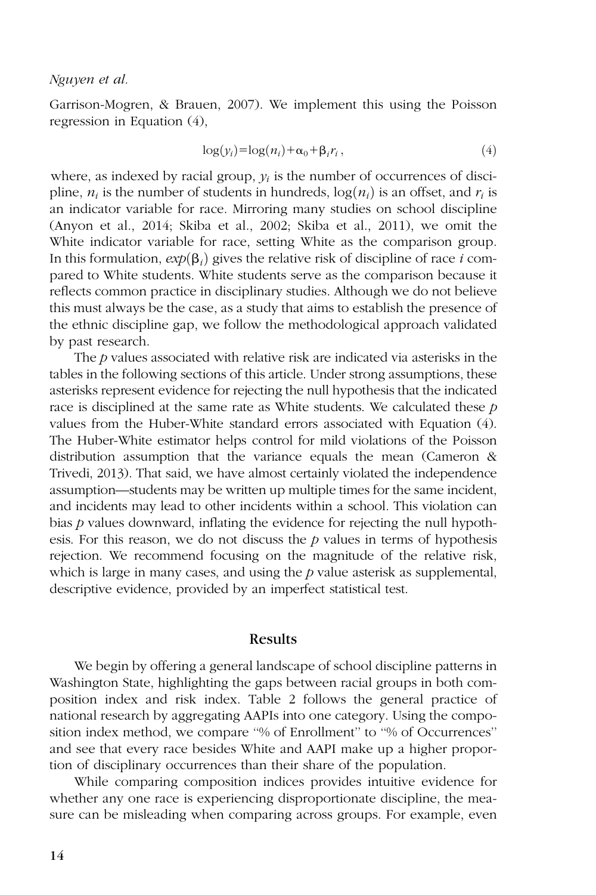Garrison-Mogren, & Brauen, 2007). We implement this using the Poisson regression in Equation (4),

$$
\log(y_i) = \log(n_i) + \alpha_0 + \beta_i r_i, \qquad (4)
$$

where, as indexed by racial group,  $y_i$  is the number of occurrences of discipline,  $n_i$  is the number of students in hundreds,  $\log(n_i)$  is an offset, and  $r_i$  is an indicator variable for race. Mirroring many studies on school discipline (Anyon et al., 2014; Skiba et al., 2002; Skiba et al., 2011), we omit the White indicator variable for race, setting White as the comparison group. In this formulation,  $exp(\beta_i)$  gives the relative risk of discipline of race i compared to White students. White students serve as the comparison because it reflects common practice in disciplinary studies. Although we do not believe this must always be the case, as a study that aims to establish the presence of the ethnic discipline gap, we follow the methodological approach validated by past research.

The p values associated with relative risk are indicated via asterisks in the tables in the following sections of this article. Under strong assumptions, these asterisks represent evidence for rejecting the null hypothesis that the indicated race is disciplined at the same rate as White students. We calculated these  $p$ values from the Huber-White standard errors associated with Equation (4). The Huber-White estimator helps control for mild violations of the Poisson distribution assumption that the variance equals the mean (Cameron & Trivedi, 2013). That said, we have almost certainly violated the independence assumption—students may be written up multiple times for the same incident, and incidents may lead to other incidents within a school. This violation can bias  $p$  values downward, inflating the evidence for rejecting the null hypothesis. For this reason, we do not discuss the  $p$  values in terms of hypothesis rejection. We recommend focusing on the magnitude of the relative risk, which is large in many cases, and using the  $p$  value asterisk as supplemental, descriptive evidence, provided by an imperfect statistical test.

#### Results

We begin by offering a general landscape of school discipline patterns in Washington State, highlighting the gaps between racial groups in both composition index and risk index. Table 2 follows the general practice of national research by aggregating AAPIs into one category. Using the composition index method, we compare ''% of Enrollment'' to ''% of Occurrences'' and see that every race besides White and AAPI make up a higher proportion of disciplinary occurrences than their share of the population.

While comparing composition indices provides intuitive evidence for whether any one race is experiencing disproportionate discipline, the measure can be misleading when comparing across groups. For example, even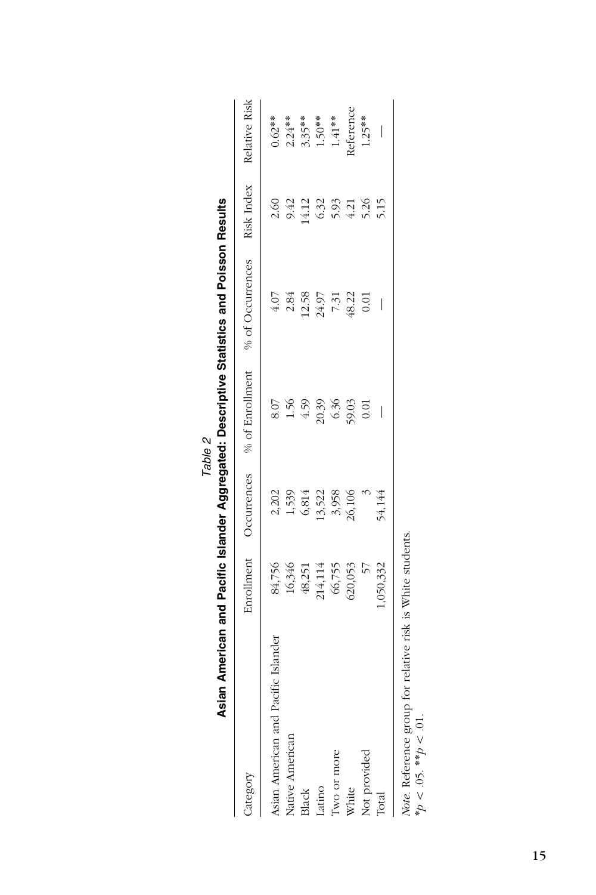| Category                                                                                                        |                                       |                            |               | Enrollment Occurrences % of Enrollment % of Occurrences Risk Index Relative Risk |       |           |
|-----------------------------------------------------------------------------------------------------------------|---------------------------------------|----------------------------|---------------|----------------------------------------------------------------------------------|-------|-----------|
| Asian American and Pacific Islander                                                                             |                                       |                            | 8.07          | 4.07                                                                             | 2.60  | $0.62**$  |
| Native American                                                                                                 |                                       |                            | 1.56          | 2.84                                                                             | 9.42  | $2.24***$ |
| Black                                                                                                           | 84,756<br>16,346<br>48,251<br>214,114 | 2,202<br>1,539<br>6,814    | 4.59          | 12.58                                                                            | 14.12 | $3.35***$ |
| Latino                                                                                                          |                                       |                            |               | 24.97                                                                            | 6.32  | $1.50**$  |
| Two or more                                                                                                     | 66,755                                | $13,522$<br>3,958<br>3,958 | 20.39<br>6.36 | 7.31                                                                             | 5.93  | $1.41***$ |
| White                                                                                                           | 520,053                               |                            | 59.03         | 48.22                                                                            | 4.21  | keference |
| Not provided                                                                                                    |                                       |                            | 0.01          | 0.01                                                                             | 5.26  | $1.25***$ |
| Total                                                                                                           | 1,050,332                             | 54,144                     |               |                                                                                  | 5.15  |           |
| Note. Reference group for relative risk is White students.<br>$*_{\mathcal{D}} < .05.$ $*_{\mathcal{P}} < .01.$ |                                       |                            |               |                                                                                  |       |           |

|  | !<br>. |  |
|--|--------|--|
|  |        |  |

15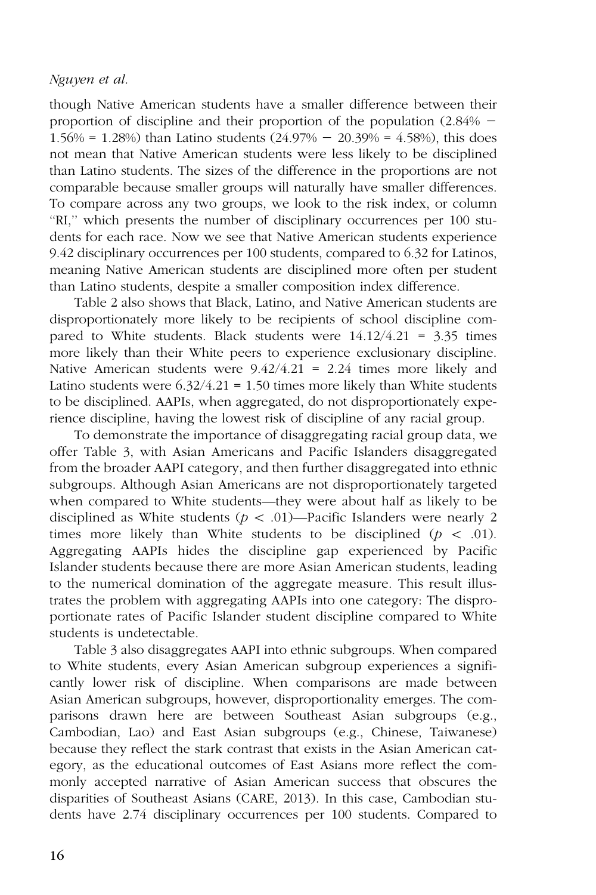though Native American students have a smaller difference between their proportion of discipline and their proportion of the population  $(2.84\%$  -1.56% = 1.28%) than Latino students  $(24.97% - 20.39% = 4.58%)$ , this does not mean that Native American students were less likely to be disciplined than Latino students. The sizes of the difference in the proportions are not comparable because smaller groups will naturally have smaller differences. To compare across any two groups, we look to the risk index, or column ''RI,'' which presents the number of disciplinary occurrences per 100 students for each race. Now we see that Native American students experience 9.42 disciplinary occurrences per 100 students, compared to 6.32 for Latinos, meaning Native American students are disciplined more often per student than Latino students, despite a smaller composition index difference.

Table 2 also shows that Black, Latino, and Native American students are disproportionately more likely to be recipients of school discipline compared to White students. Black students were  $14.12/4.21 = 3.35$  times more likely than their White peers to experience exclusionary discipline. Native American students were 9.42/4.21 = 2.24 times more likely and Latino students were  $6.32/4.21 = 1.50$  times more likely than White students to be disciplined. AAPIs, when aggregated, do not disproportionately experience discipline, having the lowest risk of discipline of any racial group.

To demonstrate the importance of disaggregating racial group data, we offer Table 3, with Asian Americans and Pacific Islanders disaggregated from the broader AAPI category, and then further disaggregated into ethnic subgroups. Although Asian Americans are not disproportionately targeted when compared to White students—they were about half as likely to be disciplined as White students ( $p \lt 0.01$ )—Pacific Islanders were nearly 2 times more likely than White students to be disciplined ( $p \le .01$ ). Aggregating AAPIs hides the discipline gap experienced by Pacific Islander students because there are more Asian American students, leading to the numerical domination of the aggregate measure. This result illustrates the problem with aggregating AAPIs into one category: The disproportionate rates of Pacific Islander student discipline compared to White students is undetectable.

Table 3 also disaggregates AAPI into ethnic subgroups. When compared to White students, every Asian American subgroup experiences a significantly lower risk of discipline. When comparisons are made between Asian American subgroups, however, disproportionality emerges. The comparisons drawn here are between Southeast Asian subgroups (e.g., Cambodian, Lao) and East Asian subgroups (e.g., Chinese, Taiwanese) because they reflect the stark contrast that exists in the Asian American category, as the educational outcomes of East Asians more reflect the commonly accepted narrative of Asian American success that obscures the disparities of Southeast Asians (CARE, 2013). In this case, Cambodian students have 2.74 disciplinary occurrences per 100 students. Compared to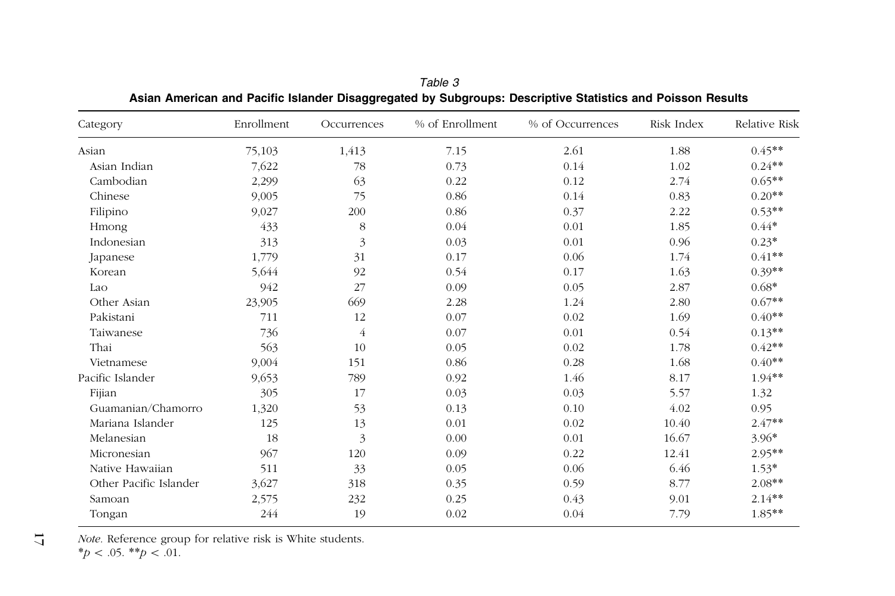| Category               | Enrollment | Occurrences    | % of Enrollment | % of Occurrences | Risk Index | Relative Risk |
|------------------------|------------|----------------|-----------------|------------------|------------|---------------|
| Asian                  | 75,103     | 1,413          | 7.15            | 2.61             | 1.88       | $0.45**$      |
| Asian Indian           | 7,622      | 78             | 0.73            | 0.14             | 1.02       | $0.24**$      |
| Cambodian              | 2,299      | 63             | 0.22            | 0.12             | 2.74       | $0.65**$      |
| Chinese                | 9,005      | 75             | 0.86            | 0.14             | 0.83       | $0.20**$      |
| Filipino               | 9,027      | 200            | 0.86            | 0.37             | 2.22       | $0.53**$      |
| Hmong                  | 433        | 8              | 0.04            | 0.01             | 1.85       | $0.44*$       |
| Indonesian             | 313        | 3              | 0.03            | 0.01             | 0.96       | $0.23*$       |
| Japanese               | 1,779      | 31             | 0.17            | 0.06             | 1.74       | $0.41**$      |
| Korean                 | 5,644      | 92             | 0.54            | 0.17             | 1.63       | $0.39**$      |
| Lao                    | 942        | 27             | 0.09            | 0.05             | 2.87       | $0.68*$       |
| Other Asian            | 23,905     | 669            | 2.28            | 1.24             | 2.80       | $0.67**$      |
| Pakistani              | 711        | 12             | 0.07            | 0.02             | 1.69       | $0.40**$      |
| Taiwanese              | 736        | $\overline{4}$ | 0.07            | 0.01             | 0.54       | $0.13**$      |
| Thai                   | 563        | 10             | 0.05            | 0.02             | 1.78       | $0.42**$      |
| Vietnamese             | 9,004      | 151            | 0.86            | 0.28             | 1.68       | $0.40**$      |
| Pacific Islander       | 9,653      | 789            | 0.92            | 1.46             | 8.17       | $1.94**$      |
| Fijian                 | 305        | 17             | 0.03            | 0.03             | 5.57       | 1.32          |
| Guamanian/Chamorro     | 1,320      | 53             | 0.13            | 0.10             | 4.02       | 0.95          |
| Mariana Islander       | 125        | 13             | 0.01            | 0.02             | 10.40      | $2.47**$      |
| Melanesian             | 18         | 3              | 0.00            | 0.01             | 16.67      | $3.96*$       |
| Micronesian            | 967        | 120            | 0.09            | 0.22             | 12.41      | $2.95**$      |
| Native Hawaiian        | 511        | 33             | 0.05            | 0.06             | 6.46       | $1.53*$       |
| Other Pacific Islander | 3,627      | 318            | 0.35            | 0.59             | 8.77       | $2.08**$      |
| Samoan                 | 2,575      | 232            | 0.25            | 0.43             | 9.01       | $2.14**$      |
| Tongan                 | 244        | 19             | 0.02            | 0.04             | 7.79       | $1.85**$      |

Table 3Asian American and Pacific Islander Disaggregated by Subgroups: Descriptive Statistics and Poisson Results

Note. Reference group for relative risk is White students. \* $p < .05.$  \*\* $p < .01$ .

17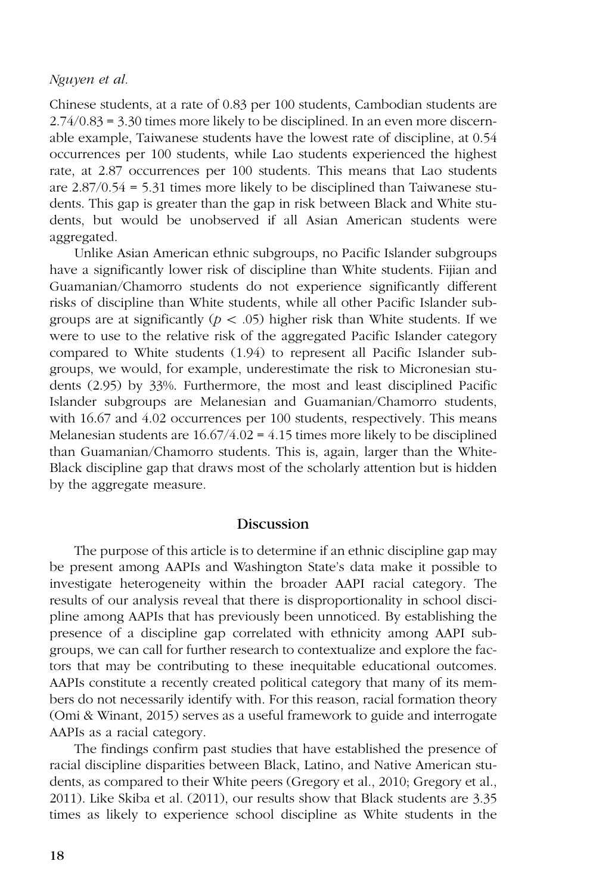Chinese students, at a rate of 0.83 per 100 students, Cambodian students are 2.74/0.83 = 3.30 times more likely to be disciplined. In an even more discernable example, Taiwanese students have the lowest rate of discipline, at 0.54 occurrences per 100 students, while Lao students experienced the highest rate, at 2.87 occurrences per 100 students. This means that Lao students are 2.87/0.54 = 5.31 times more likely to be disciplined than Taiwanese students. This gap is greater than the gap in risk between Black and White students, but would be unobserved if all Asian American students were aggregated.

Unlike Asian American ethnic subgroups, no Pacific Islander subgroups have a significantly lower risk of discipline than White students. Fijian and Guamanian/Chamorro students do not experience significantly different risks of discipline than White students, while all other Pacific Islander subgroups are at significantly ( $p < .05$ ) higher risk than White students. If we were to use to the relative risk of the aggregated Pacific Islander category compared to White students (1.94) to represent all Pacific Islander subgroups, we would, for example, underestimate the risk to Micronesian students (2.95) by 33%. Furthermore, the most and least disciplined Pacific Islander subgroups are Melanesian and Guamanian/Chamorro students, with 16.67 and 4.02 occurrences per 100 students, respectively. This means Melanesian students are 16.67/4.02 = 4.15 times more likely to be disciplined than Guamanian/Chamorro students. This is, again, larger than the White-Black discipline gap that draws most of the scholarly attention but is hidden by the aggregate measure.

## Discussion

The purpose of this article is to determine if an ethnic discipline gap may be present among AAPIs and Washington State's data make it possible to investigate heterogeneity within the broader AAPI racial category. The results of our analysis reveal that there is disproportionality in school discipline among AAPIs that has previously been unnoticed. By establishing the presence of a discipline gap correlated with ethnicity among AAPI subgroups, we can call for further research to contextualize and explore the factors that may be contributing to these inequitable educational outcomes. AAPIs constitute a recently created political category that many of its members do not necessarily identify with. For this reason, racial formation theory (Omi & Winant, 2015) serves as a useful framework to guide and interrogate AAPIs as a racial category.

The findings confirm past studies that have established the presence of racial discipline disparities between Black, Latino, and Native American students, as compared to their White peers (Gregory et al., 2010; Gregory et al., 2011). Like Skiba et al. (2011), our results show that Black students are 3.35 times as likely to experience school discipline as White students in the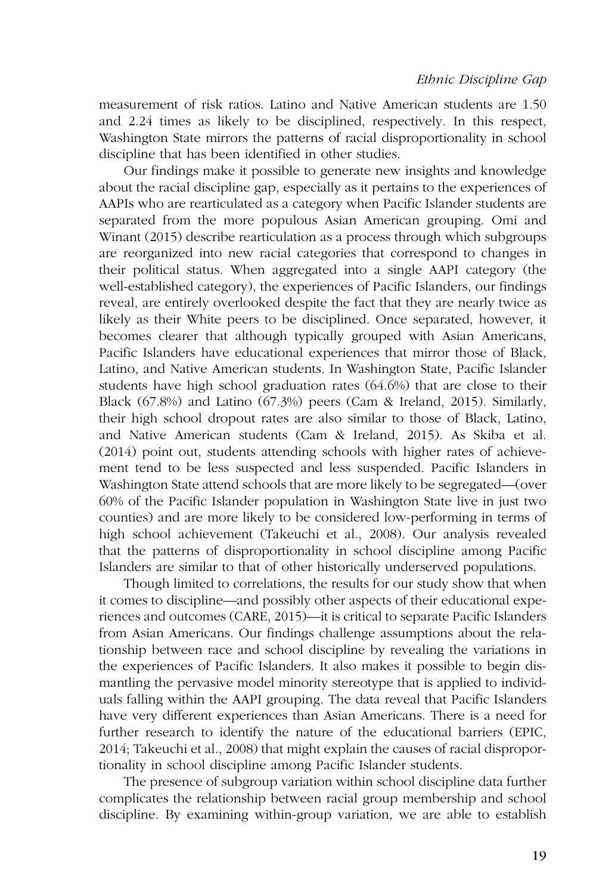measurement of risk ratios. Latino and Native American students are 1.50 and 2.24 times as likely to be disciplined, respectively. In this respect, Washington State mirrors the patterns of racial disproportionality in school discipline that has been identified in other studies.

Our findings make it possible to generate new insights and knowledge about the racial discipline gap, especially as it pertains to the experiences of AAPIs who are rearticulated as a category when Pacific Islander students are separated from the more populous Asian American grouping. Omi and Winant (2015) describe rearticulation as a process through which subgroups are reorganized into new racial categories that correspond to changes in their political status. When aggregated into a single AAPI category (the well-established category), the experiences of Pacific Islanders, our findings reveal, are entirely overlooked despite the fact that they are nearly twice as likely as their White peers to be disciplined. Once separated, however, it becomes clearer that although typically grouped with Asian Americans, Pacific Islanders have educational experiences that mirror those of Black, Latino, and Native American students. In Washington State, Pacific Islander students have high school graduation rates (64.6%) that are close to their Black (67.8%) and Latino (67.3%) peers (Cam & Ireland, 2015). Similarly, their high school dropout rates are also similar to those of Black, Latino, and Native American students (Cam & Ireland, 2015). As Skiba et al. (2014) point out, students attending schools with higher rates of achievement tend to be less suspected and less suspended. Pacific Islanders in Washington State attend schools that are more likely to be segregated—(over 60% of the Pacific Islander population in Washington State live in just two counties) and are more likely to be considered low-performing in terms of high school achievement (Takeuchi et al., 2008). Our analysis revealed that the patterns of disproportionality in school discipline among Pacific Islanders are similar to that of other historically underserved populations.

Though limited to correlations, the results for our study show that when it comes to discipline—and possibly other aspects of their educational experiences and outcomes (CARE, 2015)—it is critical to separate Pacific Islanders from Asian Americans. Our findings challenge assumptions about the relationship between race and school discipline by revealing the variations in the experiences of Pacific Islanders. It also makes it possible to begin dismantling the pervasive model minority stereotype that is applied to individuals falling within the AAPI grouping. The data reveal that Pacific Islanders have very different experiences than Asian Americans. There is a need for further research to identify the nature of the educational barriers (EPIC, 2014; Takeuchi et al., 2008) that might explain the causes of racial disproportionality in school discipline among Pacific Islander students.

The presence of subgroup variation within school discipline data further complicates the relationship between racial group membership and school discipline. By examining within-group variation, we are able to establish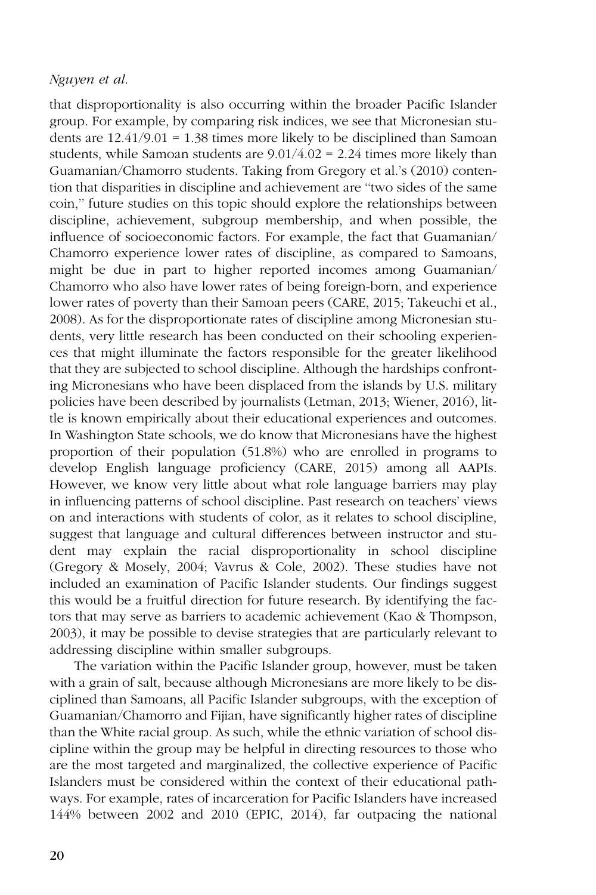that disproportionality is also occurring within the broader Pacific Islander group. For example, by comparing risk indices, we see that Micronesian students are 12.41/9.01 = 1.38 times more likely to be disciplined than Samoan students, while Samoan students are  $9.01/4.02 = 2.24$  times more likely than Guamanian/Chamorro students. Taking from Gregory et al.'s (2010) contention that disparities in discipline and achievement are ''two sides of the same coin,'' future studies on this topic should explore the relationships between discipline, achievement, subgroup membership, and when possible, the influence of socioeconomic factors. For example, the fact that Guamanian/ Chamorro experience lower rates of discipline, as compared to Samoans, might be due in part to higher reported incomes among Guamanian/ Chamorro who also have lower rates of being foreign-born, and experience lower rates of poverty than their Samoan peers (CARE, 2015; Takeuchi et al., 2008). As for the disproportionate rates of discipline among Micronesian students, very little research has been conducted on their schooling experiences that might illuminate the factors responsible for the greater likelihood that they are subjected to school discipline. Although the hardships confronting Micronesians who have been displaced from the islands by U.S. military policies have been described by journalists (Letman, 2013; Wiener, 2016), little is known empirically about their educational experiences and outcomes. In Washington State schools, we do know that Micronesians have the highest proportion of their population (51.8%) who are enrolled in programs to develop English language proficiency (CARE, 2015) among all AAPIs. However, we know very little about what role language barriers may play in influencing patterns of school discipline. Past research on teachers' views on and interactions with students of color, as it relates to school discipline, suggest that language and cultural differences between instructor and student may explain the racial disproportionality in school discipline (Gregory & Mosely, 2004; Vavrus & Cole, 2002). These studies have not included an examination of Pacific Islander students. Our findings suggest this would be a fruitful direction for future research. By identifying the factors that may serve as barriers to academic achievement (Kao & Thompson, 2003), it may be possible to devise strategies that are particularly relevant to addressing discipline within smaller subgroups.

The variation within the Pacific Islander group, however, must be taken with a grain of salt, because although Micronesians are more likely to be disciplined than Samoans, all Pacific Islander subgroups, with the exception of Guamanian/Chamorro and Fijian, have significantly higher rates of discipline than the White racial group. As such, while the ethnic variation of school discipline within the group may be helpful in directing resources to those who are the most targeted and marginalized, the collective experience of Pacific Islanders must be considered within the context of their educational pathways. For example, rates of incarceration for Pacific Islanders have increased 144% between 2002 and 2010 (EPIC, 2014), far outpacing the national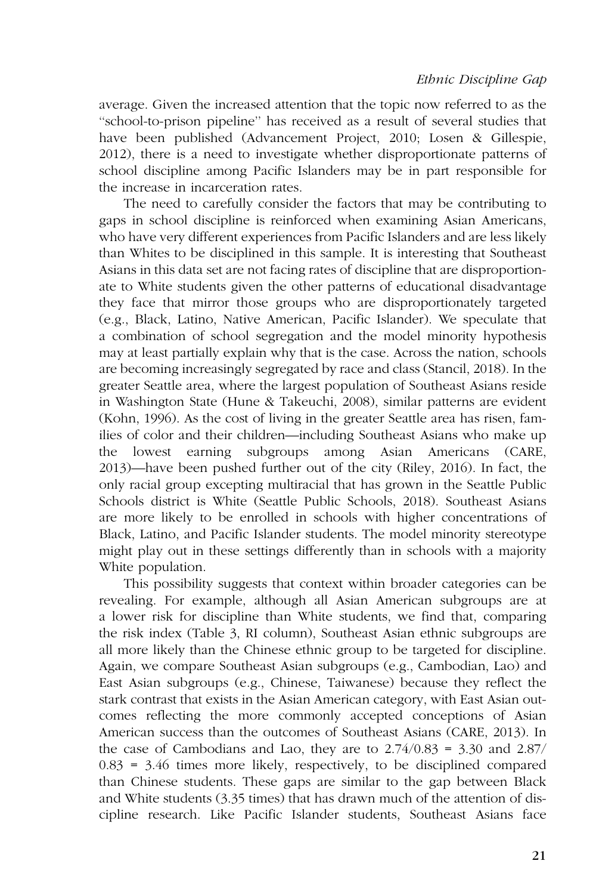average. Given the increased attention that the topic now referred to as the ''school-to-prison pipeline'' has received as a result of several studies that have been published (Advancement Project, 2010; Losen & Gillespie, 2012), there is a need to investigate whether disproportionate patterns of school discipline among Pacific Islanders may be in part responsible for the increase in incarceration rates.

The need to carefully consider the factors that may be contributing to gaps in school discipline is reinforced when examining Asian Americans, who have very different experiences from Pacific Islanders and are less likely than Whites to be disciplined in this sample. It is interesting that Southeast Asians in this data set are not facing rates of discipline that are disproportionate to White students given the other patterns of educational disadvantage they face that mirror those groups who are disproportionately targeted (e.g., Black, Latino, Native American, Pacific Islander). We speculate that a combination of school segregation and the model minority hypothesis may at least partially explain why that is the case. Across the nation, schools are becoming increasingly segregated by race and class (Stancil, 2018). In the greater Seattle area, where the largest population of Southeast Asians reside in Washington State (Hune & Takeuchi, 2008), similar patterns are evident (Kohn, 1996). As the cost of living in the greater Seattle area has risen, families of color and their children—including Southeast Asians who make up the lowest earning subgroups among Asian Americans (CARE, 2013)—have been pushed further out of the city (Riley, 2016). In fact, the only racial group excepting multiracial that has grown in the Seattle Public Schools district is White (Seattle Public Schools, 2018). Southeast Asians are more likely to be enrolled in schools with higher concentrations of Black, Latino, and Pacific Islander students. The model minority stereotype might play out in these settings differently than in schools with a majority White population.

This possibility suggests that context within broader categories can be revealing. For example, although all Asian American subgroups are at a lower risk for discipline than White students, we find that, comparing the risk index (Table 3, RI column), Southeast Asian ethnic subgroups are all more likely than the Chinese ethnic group to be targeted for discipline. Again, we compare Southeast Asian subgroups (e.g., Cambodian, Lao) and East Asian subgroups (e.g., Chinese, Taiwanese) because they reflect the stark contrast that exists in the Asian American category, with East Asian outcomes reflecting the more commonly accepted conceptions of Asian American success than the outcomes of Southeast Asians (CARE, 2013). In the case of Cambodians and Lao, they are to  $2.74/0.83 = 3.30$  and  $2.87/$  $0.83$  = 3.46 times more likely, respectively, to be disciplined compared than Chinese students. These gaps are similar to the gap between Black and White students (3.35 times) that has drawn much of the attention of discipline research. Like Pacific Islander students, Southeast Asians face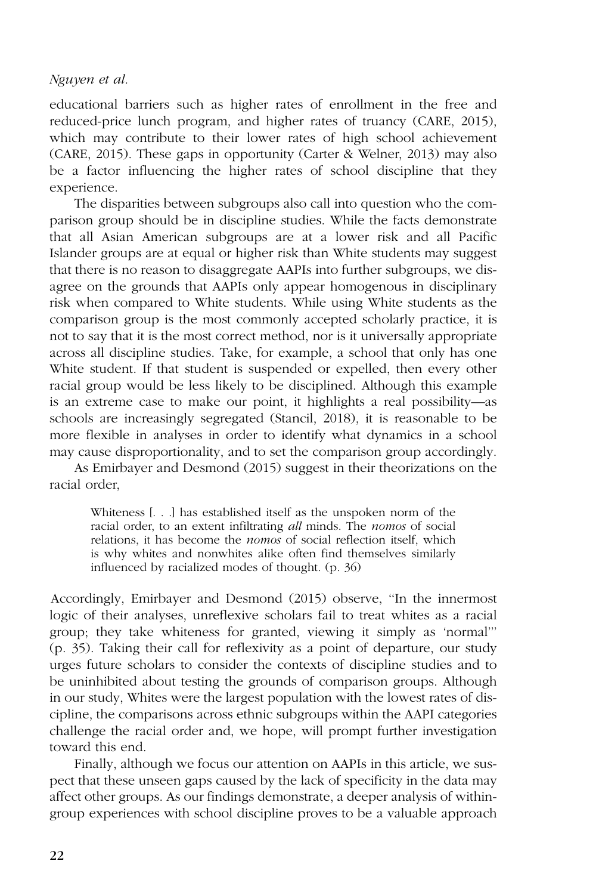educational barriers such as higher rates of enrollment in the free and reduced-price lunch program, and higher rates of truancy (CARE, 2015), which may contribute to their lower rates of high school achievement (CARE, 2015). These gaps in opportunity (Carter & Welner, 2013) may also be a factor influencing the higher rates of school discipline that they experience.

The disparities between subgroups also call into question who the comparison group should be in discipline studies. While the facts demonstrate that all Asian American subgroups are at a lower risk and all Pacific Islander groups are at equal or higher risk than White students may suggest that there is no reason to disaggregate AAPIs into further subgroups, we disagree on the grounds that AAPIs only appear homogenous in disciplinary risk when compared to White students. While using White students as the comparison group is the most commonly accepted scholarly practice, it is not to say that it is the most correct method, nor is it universally appropriate across all discipline studies. Take, for example, a school that only has one White student. If that student is suspended or expelled, then every other racial group would be less likely to be disciplined. Although this example is an extreme case to make our point, it highlights a real possibility—as schools are increasingly segregated (Stancil, 2018), it is reasonable to be more flexible in analyses in order to identify what dynamics in a school may cause disproportionality, and to set the comparison group accordingly.

As Emirbayer and Desmond (2015) suggest in their theorizations on the racial order,

Whiteness [. . .] has established itself as the unspoken norm of the racial order, to an extent infiltrating all minds. The nomos of social relations, it has become the nomos of social reflection itself, which is why whites and nonwhites alike often find themselves similarly influenced by racialized modes of thought. (p. 36)

Accordingly, Emirbayer and Desmond (2015) observe, ''In the innermost logic of their analyses, unreflexive scholars fail to treat whites as a racial group; they take whiteness for granted, viewing it simply as 'normal''' (p. 35). Taking their call for reflexivity as a point of departure, our study urges future scholars to consider the contexts of discipline studies and to be uninhibited about testing the grounds of comparison groups. Although in our study, Whites were the largest population with the lowest rates of discipline, the comparisons across ethnic subgroups within the AAPI categories challenge the racial order and, we hope, will prompt further investigation toward this end.

Finally, although we focus our attention on AAPIs in this article, we suspect that these unseen gaps caused by the lack of specificity in the data may affect other groups. As our findings demonstrate, a deeper analysis of withingroup experiences with school discipline proves to be a valuable approach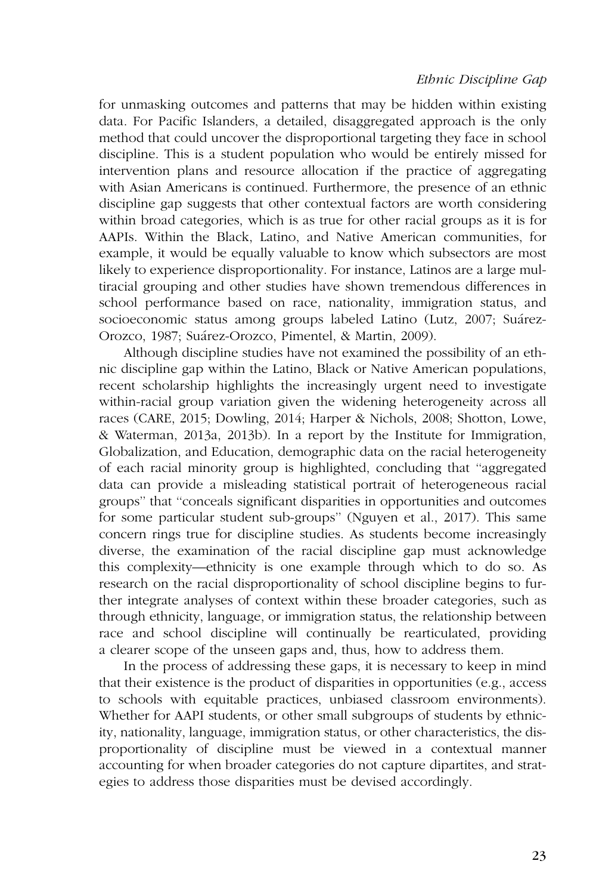## Ethnic Discipline Gap

for unmasking outcomes and patterns that may be hidden within existing data. For Pacific Islanders, a detailed, disaggregated approach is the only method that could uncover the disproportional targeting they face in school discipline. This is a student population who would be entirely missed for intervention plans and resource allocation if the practice of aggregating with Asian Americans is continued. Furthermore, the presence of an ethnic discipline gap suggests that other contextual factors are worth considering within broad categories, which is as true for other racial groups as it is for AAPIs. Within the Black, Latino, and Native American communities, for example, it would be equally valuable to know which subsectors are most likely to experience disproportionality. For instance, Latinos are a large multiracial grouping and other studies have shown tremendous differences in school performance based on race, nationality, immigration status, and socioeconomic status among groups labeled Latino (Lutz, 2007; Suárez-Orozco, 1987; Suárez-Orozco, Pimentel, & Martin, 2009).

Although discipline studies have not examined the possibility of an ethnic discipline gap within the Latino, Black or Native American populations, recent scholarship highlights the increasingly urgent need to investigate within-racial group variation given the widening heterogeneity across all races (CARE, 2015; Dowling, 2014; Harper & Nichols, 2008; Shotton, Lowe, & Waterman, 2013a, 2013b). In a report by the Institute for Immigration, Globalization, and Education, demographic data on the racial heterogeneity of each racial minority group is highlighted, concluding that ''aggregated data can provide a misleading statistical portrait of heterogeneous racial groups'' that ''conceals significant disparities in opportunities and outcomes for some particular student sub-groups'' (Nguyen et al., 2017). This same concern rings true for discipline studies. As students become increasingly diverse, the examination of the racial discipline gap must acknowledge this complexity—ethnicity is one example through which to do so. As research on the racial disproportionality of school discipline begins to further integrate analyses of context within these broader categories, such as through ethnicity, language, or immigration status, the relationship between race and school discipline will continually be rearticulated, providing a clearer scope of the unseen gaps and, thus, how to address them.

In the process of addressing these gaps, it is necessary to keep in mind that their existence is the product of disparities in opportunities (e.g., access to schools with equitable practices, unbiased classroom environments). Whether for AAPI students, or other small subgroups of students by ethnicity, nationality, language, immigration status, or other characteristics, the disproportionality of discipline must be viewed in a contextual manner accounting for when broader categories do not capture dipartites, and strategies to address those disparities must be devised accordingly.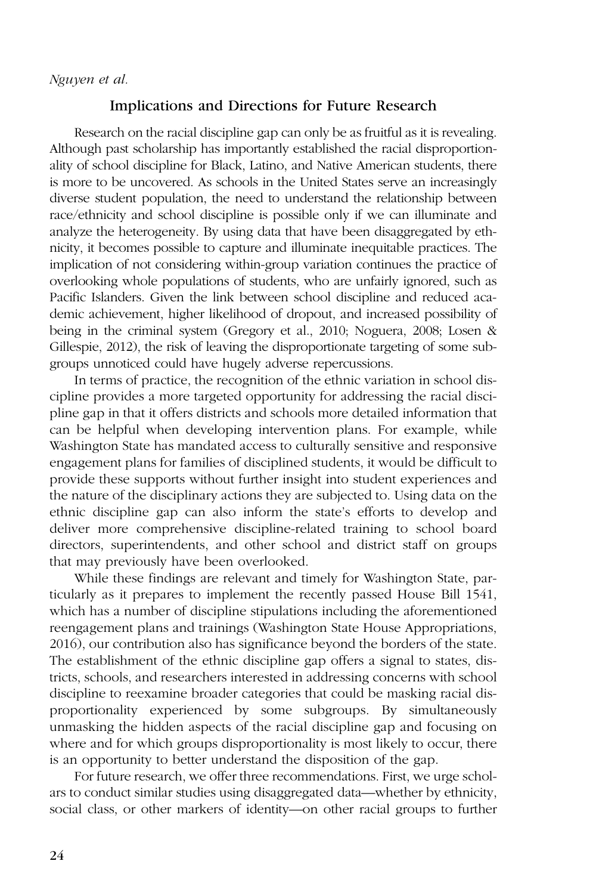## Implications and Directions for Future Research

Research on the racial discipline gap can only be as fruitful as it is revealing. Although past scholarship has importantly established the racial disproportionality of school discipline for Black, Latino, and Native American students, there is more to be uncovered. As schools in the United States serve an increasingly diverse student population, the need to understand the relationship between race/ethnicity and school discipline is possible only if we can illuminate and analyze the heterogeneity. By using data that have been disaggregated by ethnicity, it becomes possible to capture and illuminate inequitable practices. The implication of not considering within-group variation continues the practice of overlooking whole populations of students, who are unfairly ignored, such as Pacific Islanders. Given the link between school discipline and reduced academic achievement, higher likelihood of dropout, and increased possibility of being in the criminal system (Gregory et al., 2010; Noguera, 2008; Losen & Gillespie, 2012), the risk of leaving the disproportionate targeting of some subgroups unnoticed could have hugely adverse repercussions.

In terms of practice, the recognition of the ethnic variation in school discipline provides a more targeted opportunity for addressing the racial discipline gap in that it offers districts and schools more detailed information that can be helpful when developing intervention plans. For example, while Washington State has mandated access to culturally sensitive and responsive engagement plans for families of disciplined students, it would be difficult to provide these supports without further insight into student experiences and the nature of the disciplinary actions they are subjected to. Using data on the ethnic discipline gap can also inform the state's efforts to develop and deliver more comprehensive discipline-related training to school board directors, superintendents, and other school and district staff on groups that may previously have been overlooked.

While these findings are relevant and timely for Washington State, particularly as it prepares to implement the recently passed House Bill 1541, which has a number of discipline stipulations including the aforementioned reengagement plans and trainings (Washington State House Appropriations, 2016), our contribution also has significance beyond the borders of the state. The establishment of the ethnic discipline gap offers a signal to states, districts, schools, and researchers interested in addressing concerns with school discipline to reexamine broader categories that could be masking racial disproportionality experienced by some subgroups. By simultaneously unmasking the hidden aspects of the racial discipline gap and focusing on where and for which groups disproportionality is most likely to occur, there is an opportunity to better understand the disposition of the gap.

For future research, we offer three recommendations. First, we urge scholars to conduct similar studies using disaggregated data—whether by ethnicity, social class, or other markers of identity—on other racial groups to further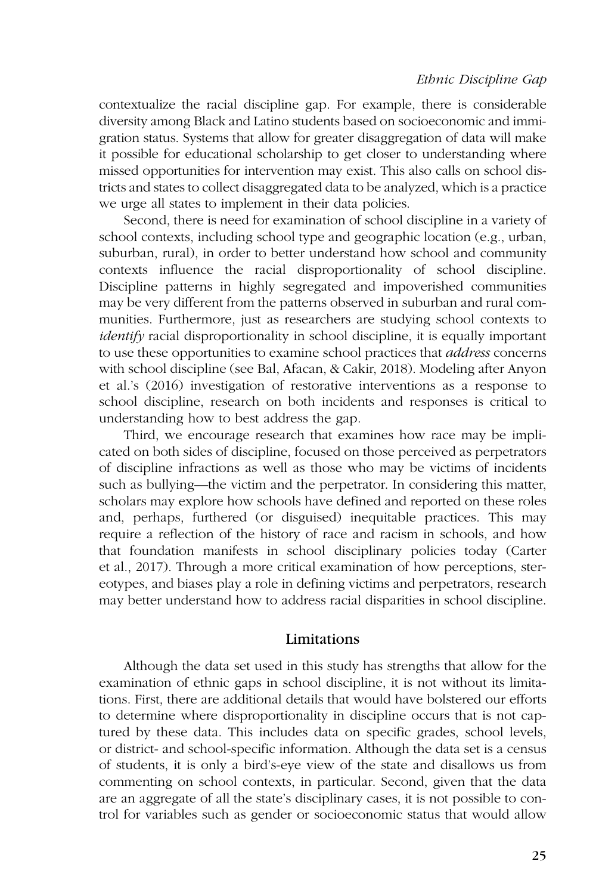#### Ethnic Discipline Gap

contextualize the racial discipline gap. For example, there is considerable diversity among Black and Latino students based on socioeconomic and immigration status. Systems that allow for greater disaggregation of data will make it possible for educational scholarship to get closer to understanding where missed opportunities for intervention may exist. This also calls on school districts and states to collect disaggregated data to be analyzed, which is a practice we urge all states to implement in their data policies.

Second, there is need for examination of school discipline in a variety of school contexts, including school type and geographic location (e.g., urban, suburban, rural), in order to better understand how school and community contexts influence the racial disproportionality of school discipline. Discipline patterns in highly segregated and impoverished communities may be very different from the patterns observed in suburban and rural communities. Furthermore, just as researchers are studying school contexts to identify racial disproportionality in school discipline, it is equally important to use these opportunities to examine school practices that *address* concerns with school discipline (see Bal, Afacan, & Cakir, 2018). Modeling after Anyon et al.'s (2016) investigation of restorative interventions as a response to school discipline, research on both incidents and responses is critical to understanding how to best address the gap.

Third, we encourage research that examines how race may be implicated on both sides of discipline, focused on those perceived as perpetrators of discipline infractions as well as those who may be victims of incidents such as bullying—the victim and the perpetrator. In considering this matter, scholars may explore how schools have defined and reported on these roles and, perhaps, furthered (or disguised) inequitable practices. This may require a reflection of the history of race and racism in schools, and how that foundation manifests in school disciplinary policies today (Carter et al., 2017). Through a more critical examination of how perceptions, stereotypes, and biases play a role in defining victims and perpetrators, research may better understand how to address racial disparities in school discipline.

#### Limitations

Although the data set used in this study has strengths that allow for the examination of ethnic gaps in school discipline, it is not without its limitations. First, there are additional details that would have bolstered our efforts to determine where disproportionality in discipline occurs that is not captured by these data. This includes data on specific grades, school levels, or district- and school-specific information. Although the data set is a census of students, it is only a bird's-eye view of the state and disallows us from commenting on school contexts, in particular. Second, given that the data are an aggregate of all the state's disciplinary cases, it is not possible to control for variables such as gender or socioeconomic status that would allow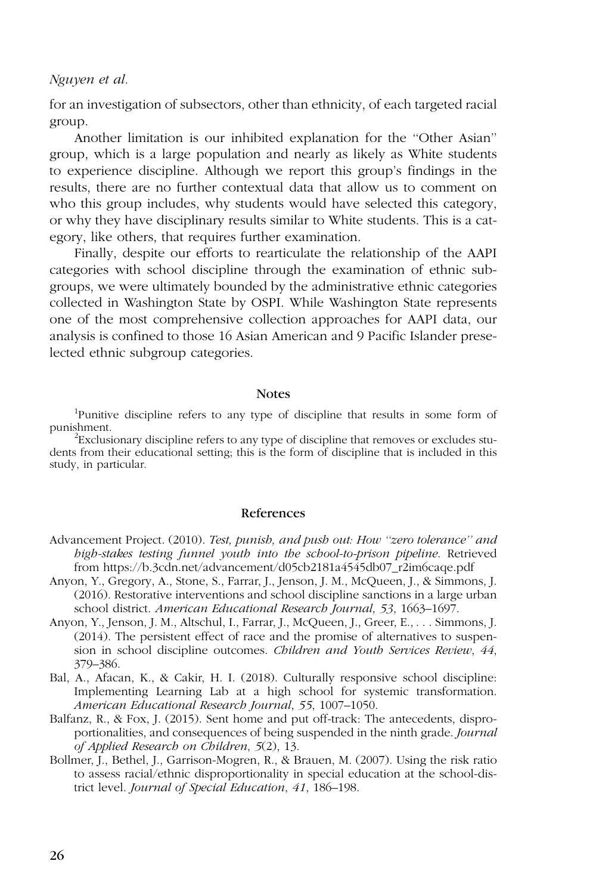for an investigation of subsectors, other than ethnicity, of each targeted racial group.

Another limitation is our inhibited explanation for the ''Other Asian'' group, which is a large population and nearly as likely as White students to experience discipline. Although we report this group's findings in the results, there are no further contextual data that allow us to comment on who this group includes, why students would have selected this category, or why they have disciplinary results similar to White students. This is a category, like others, that requires further examination.

Finally, despite our efforts to rearticulate the relationship of the AAPI categories with school discipline through the examination of ethnic subgroups, we were ultimately bounded by the administrative ethnic categories collected in Washington State by OSPI. While Washington State represents one of the most comprehensive collection approaches for AAPI data, our analysis is confined to those 16 Asian American and 9 Pacific Islander preselected ethnic subgroup categories.

#### **Notes**

<sup>1</sup>Punitive discipline refers to any type of discipline that results in some form of punishment. <sup>2</sup>

 $E_{\text{Exclusionary}}$  discipline refers to any type of discipline that removes or excludes students from their educational setting; this is the form of discipline that is included in this study, in particular.

#### References

- Advancement Project. (2010). Test, punish, and push out: How "zero tolerance" and high-stakes testing funnel youth into the school-to-prison pipeline. Retrieved from https://b.3cdn.net/advancement/d05cb2181a4545db07\_r2im6caqe.pdf
- Anyon, Y., Gregory, A., Stone, S., Farrar, J., Jenson, J. M., McQueen, J., & Simmons, J. (2016). Restorative interventions and school discipline sanctions in a large urban school district. American Educational Research Journal, 53, 1663–1697.
- Anyon, Y., Jenson, J. M., Altschul, I., Farrar, J., McQueen, J., Greer, E., . . . Simmons, J. (2014). The persistent effect of race and the promise of alternatives to suspension in school discipline outcomes. Children and Youth Services Review, 44, 379–386.
- Bal, A., Afacan, K., & Cakir, H. I. (2018). Culturally responsive school discipline: Implementing Learning Lab at a high school for systemic transformation. American Educational Research Journal, 55, 1007–1050.
- Balfanz, R., & Fox, J. (2015). Sent home and put off-track: The antecedents, disproportionalities, and consequences of being suspended in the ninth grade. Journal of Applied Research on Children, 5(2), 13.
- Bollmer, J., Bethel, J., Garrison-Mogren, R., & Brauen, M. (2007). Using the risk ratio to assess racial/ethnic disproportionality in special education at the school-district level. Journal of Special Education, 41, 186–198.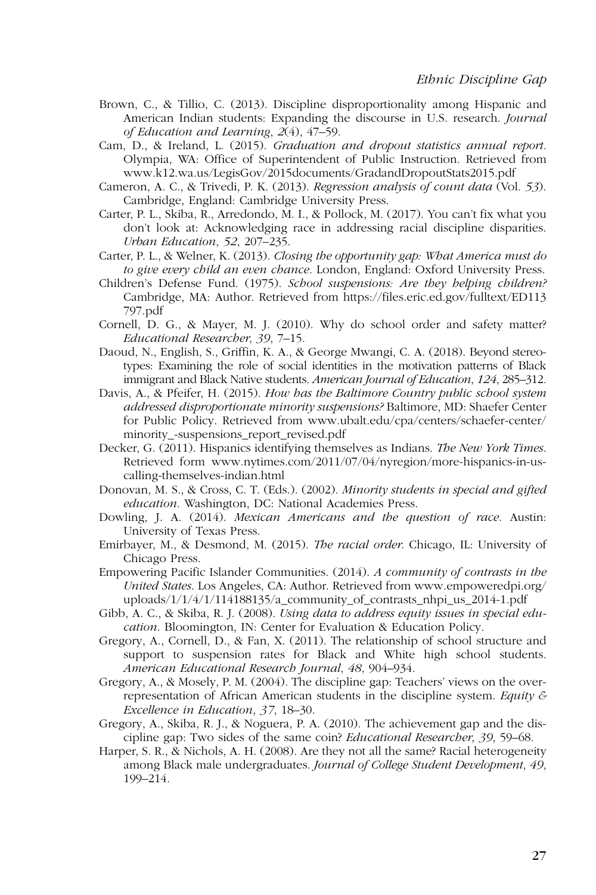- Brown, C., & Tillio, C. (2013). Discipline disproportionality among Hispanic and American Indian students: Expanding the discourse in U.S. research. Journal of Education and Learning, 2(4), 47–59.
- Cam, D., & Ireland, L. (2015). Graduation and dropout statistics annual report. Olympia, WA: Office of Superintendent of Public Instruction. Retrieved from www.k12.wa.us/LegisGov/2015documents/GradandDropoutStats2015.pdf
- Cameron, A. C., & Trivedi, P. K. (2013). Regression analysis of count data (Vol. 53). Cambridge, England: Cambridge University Press.
- Carter, P. L., Skiba, R., Arredondo, M. I., & Pollock, M. (2017). You can't fix what you don't look at: Acknowledging race in addressing racial discipline disparities. Urban Education, 52, 207–235.
- Carter, P. L., & Welner, K. (2013). Closing the opportunity gap: What America must do to give every child an even chance. London, England: Oxford University Press.
- Children's Defense Fund. (1975). School suspensions: Are they helping children? Cambridge, MA: Author. Retrieved from https://files.eric.ed.gov/fulltext/ED113 797.pdf
- Cornell, D. G., & Mayer, M. J. (2010). Why do school order and safety matter? Educational Researcher, 39, 7–15.
- Daoud, N., English, S., Griffin, K. A., & George Mwangi, C. A. (2018). Beyond stereotypes: Examining the role of social identities in the motivation patterns of Black immigrant and Black Native students. American Journal of Education, 124, 285–312.
- Davis, A., & Pfeifer, H. (2015). How has the Baltimore Country public school system addressed disproportionate minority suspensions? Baltimore, MD: Shaefer Center for Public Policy. Retrieved from www.ubalt.edu/cpa/centers/schaefer-center/ minority\_-suspensions\_report\_revised.pdf
- Decker, G. (2011). Hispanics identifying themselves as Indians. The New York Times. Retrieved form www.nytimes.com/2011/07/04/nyregion/more-hispanics-in-uscalling-themselves-indian.html
- Donovan, M. S., & Cross, C. T. (Eds.). (2002). Minority students in special and gifted education. Washington, DC: National Academies Press.
- Dowling, J. A. (2014). Mexican Americans and the question of race. Austin: University of Texas Press.
- Emirbayer, M., & Desmond, M. (2015). The racial order. Chicago, IL: University of Chicago Press.
- Empowering Pacific Islander Communities. (2014). A community of contrasts in the United States. Los Angeles, CA: Author. Retrieved from www.empoweredpi.org/ uploads/1/1/4/1/114188135/a\_community\_of\_contrasts\_nhpi\_us\_2014-1.pdf
- Gibb, A. C., & Skiba, R. J. (2008). Using data to address equity issues in special education. Bloomington, IN: Center for Evaluation & Education Policy.
- Gregory, A., Cornell, D., & Fan, X. (2011). The relationship of school structure and support to suspension rates for Black and White high school students. American Educational Research Journal, 48, 904–934.
- Gregory, A., & Mosely, P. M. (2004). The discipline gap: Teachers' views on the overrepresentation of African American students in the discipline system. Equity  $\mathcal E$ Excellence in Education, 37, 18–30.
- Gregory, A., Skiba, R. J., & Noguera, P. A. (2010). The achievement gap and the discipline gap: Two sides of the same coin? Educational Researcher, 39, 59–68.
- Harper, S. R., & Nichols, A. H. (2008). Are they not all the same? Racial heterogeneity among Black male undergraduates. Journal of College Student Development, 49, 199–214.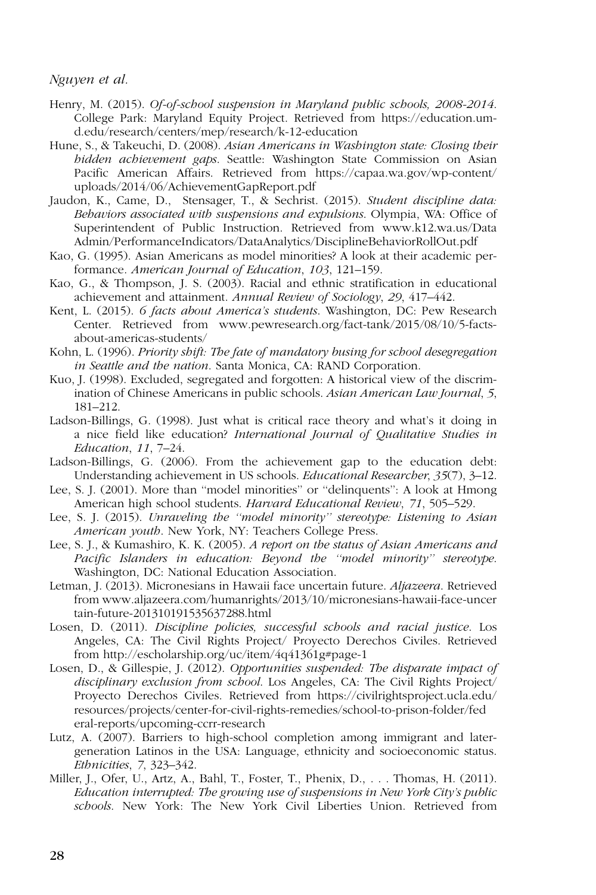- Henry, M. (2015). Of-of-school suspension in Maryland public schools, 2008-2014. College Park: Maryland Equity Project. Retrieved from https://education.umd.edu/research/centers/mep/research/k-12-education
- Hune, S., & Takeuchi, D. (2008). Asian Americans in Washington state: Closing their hidden achievement gaps. Seattle: Washington State Commission on Asian Pacific American Affairs. Retrieved from https://capaa.wa.gov/wp-content/ uploads/2014/06/AchievementGapReport.pdf
- Jaudon, K., Came, D., Stensager, T., & Sechrist. (2015). Student discipline data: Behaviors associated with suspensions and expulsions. Olympia, WA: Office of Superintendent of Public Instruction. Retrieved from www.k12.wa.us/Data Admin/PerformanceIndicators/DataAnalytics/DisciplineBehaviorRollOut.pdf
- Kao, G. (1995). Asian Americans as model minorities? A look at their academic performance. American Journal of Education, 103, 121–159.
- Kao, G., & Thompson, J. S. (2003). Racial and ethnic stratification in educational achievement and attainment. Annual Review of Sociology, 29, 417–442.
- Kent, L. (2015). 6 facts about America's students. Washington, DC: Pew Research Center. Retrieved from www.pewresearch.org/fact-tank/2015/08/10/5-factsabout-americas-students/
- Kohn, L. (1996). Priority shift: The fate of mandatory busing for school desegregation in Seattle and the nation. Santa Monica, CA: RAND Corporation.
- Kuo, J. (1998). Excluded, segregated and forgotten: A historical view of the discrimination of Chinese Americans in public schools. Asian American Law Journal, 5, 181–212.
- Ladson-Billings, G. (1998). Just what is critical race theory and what's it doing in a nice field like education? International Journal of Qualitative Studies in Education, 11, 7–24.
- Ladson-Billings, G. (2006). From the achievement gap to the education debt: Understanding achievement in US schools. Educational Researcher, 35(7), 3–12.
- Lee, S. J. (2001). More than ''model minorities'' or ''delinquents'': A look at Hmong American high school students. Harvard Educational Review, 71, 505-529.
- Lee, S. J. (2015). Unraveling the "model minority" stereotype: Listening to Asian American youth. New York, NY: Teachers College Press.
- Lee, S. J., & Kumashiro, K. K. (2005). A report on the status of Asian Americans and Pacific Islanders in education: Beyond the ''model minority'' stereotype. Washington, DC: National Education Association.
- Letman, J. (2013). Micronesians in Hawaii face uncertain future. Aljazeera. Retrieved from www.aljazeera.com/humanrights/2013/10/micronesians-hawaii-face-uncer tain-future-201310191535637288.html
- Losen, D. (2011). Discipline policies, successful schools and racial justice. Los Angeles, CA: The Civil Rights Project/ Proyecto Derechos Civiles. Retrieved from http://escholarship.org/uc/item/4q41361g#page-1
- Losen, D., & Gillespie, J. (2012). Opportunities suspended: The disparate impact of disciplinary exclusion from school. Los Angeles, CA: The Civil Rights Project/ Proyecto Derechos Civiles. Retrieved from https://civilrightsproject.ucla.edu/ resources/projects/center-for-civil-rights-remedies/school-to-prison-folder/fed eral-reports/upcoming-ccrr-research
- Lutz, A. (2007). Barriers to high-school completion among immigrant and latergeneration Latinos in the USA: Language, ethnicity and socioeconomic status. Ethnicities, 7, 323–342.
- Miller, J., Ofer, U., Artz, A., Bahl, T., Foster, T., Phenix, D., . . . Thomas, H. (2011). Education interrupted: The growing use of suspensions in New York City's public schools. New York: The New York Civil Liberties Union. Retrieved from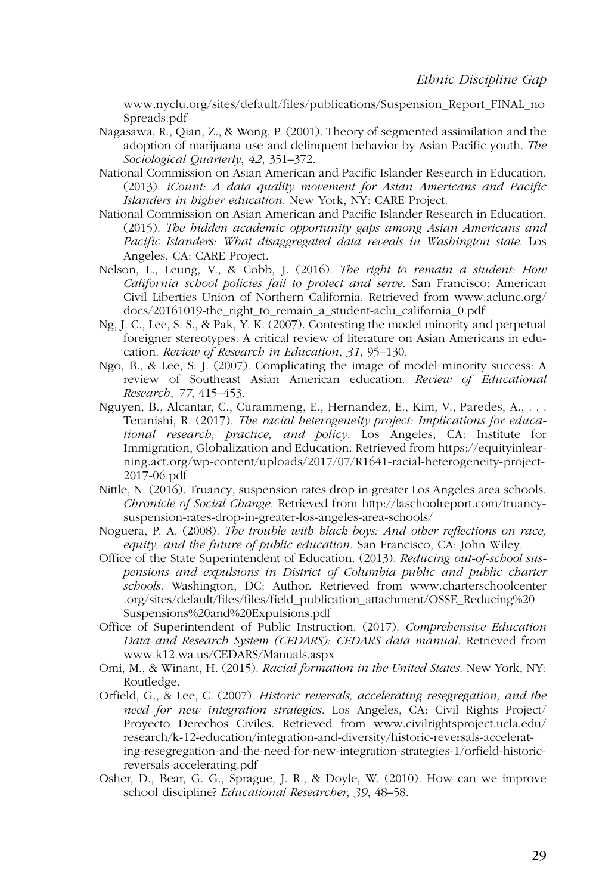www.nyclu.org/sites/default/files/publications/Suspension\_Report\_FINAL\_no Spreads.pdf

- Nagasawa, R., Qian, Z., & Wong, P. (2001). Theory of segmented assimilation and the adoption of marijuana use and delinquent behavior by Asian Pacific youth. The Sociological Quarterly, 42, 351–372.
- National Commission on Asian American and Pacific Islander Research in Education. (2013). iCount: A data quality movement for Asian Americans and Pacific Islanders in higher education. New York, NY: CARE Project.
- National Commission on Asian American and Pacific Islander Research in Education. (2015). The hidden academic opportunity gaps among Asian Americans and Pacific Islanders: What disaggregated data reveals in Washington state. Los Angeles, CA: CARE Project.
- Nelson, L., Leung, V., & Cobb, J. (2016). The right to remain a student: How California school policies fail to protect and serve. San Francisco: American Civil Liberties Union of Northern California. Retrieved from www.aclunc.org/ docs/20161019-the\_right\_to\_remain\_a\_student-aclu\_california\_0.pdf
- Ng, J. C., Lee, S. S., & Pak, Y. K. (2007). Contesting the model minority and perpetual foreigner stereotypes: A critical review of literature on Asian Americans in education. Review of Research in Education, 31, 95–130.
- Ngo, B., & Lee, S. J. (2007). Complicating the image of model minority success: A review of Southeast Asian American education. Review of Educational Research, 77, 415–453.
- Nguyen, B., Alcantar, C., Curammeng, E., Hernandez, E., Kim, V., Paredes, A., . . . Teranishi, R. (2017). The racial heterogeneity project: Implications for educational research, practice, and policy. Los Angeles, CA: Institute for Immigration, Globalization and Education. Retrieved from https://equityinlearning.act.org/wp-content/uploads/2017/07/R1641-racial-heterogeneity-project-2017-06.pdf
- Nittle, N. (2016). Truancy, suspension rates drop in greater Los Angeles area schools. Chronicle of Social Change. Retrieved from http://laschoolreport.com/truancysuspension-rates-drop-in-greater-los-angeles-area-schools/
- Noguera, P. A. (2008). The trouble with black boys: And other reflections on race, equity, and the future of public education. San Francisco, CA: John Wiley.
- Office of the State Superintendent of Education. (2013). Reducing out-of-school suspensions and expulsions in District of Columbia public and public charter schools. Washington, DC: Author. Retrieved from www.charterschoolcenter .org/sites/default/files/files/field\_publication\_attachment/OSSE\_Reducing%20 Suspensions%20and%20Expulsions.pdf
- Office of Superintendent of Public Instruction. (2017). Comprehensive Education Data and Research System (CEDARS): CEDARS data manual. Retrieved from www.k12.wa.us/CEDARS/Manuals.aspx
- Omi, M., & Winant, H. (2015). Racial formation in the United States. New York, NY: Routledge.
- Orfield, G., & Lee, C. (2007). Historic reversals, accelerating resegregation, and the need for new integration strategies. Los Angeles, CA: Civil Rights Project/ Proyecto Derechos Civiles. Retrieved from www.civilrightsproject.ucla.edu/ research/k-12-education/integration-and-diversity/historic-reversals-accelerating-resegregation-and-the-need-for-new-integration-strategies-1/orfield-historicreversals-accelerating.pdf
- Osher, D., Bear, G. G., Sprague, J. R., & Doyle, W. (2010). How can we improve school discipline? Educational Researcher, 39, 48–58.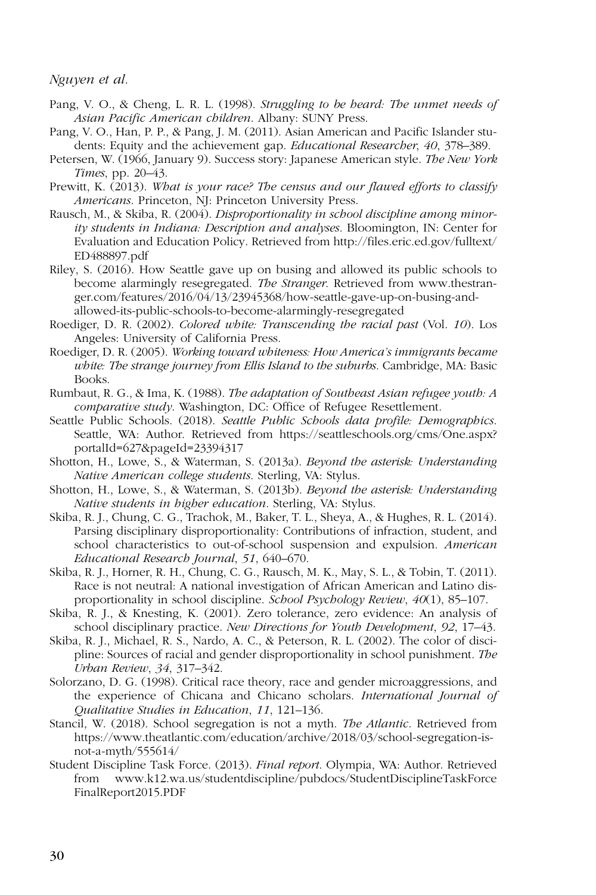- Pang, V. O., & Cheng, L. R. L. (1998). Struggling to be heard: The unmet needs of Asian Pacific American children. Albany: SUNY Press.
- Pang, V. O., Han, P. P., & Pang, J. M. (2011). Asian American and Pacific Islander students: Equity and the achievement gap. Educational Researcher, 40, 378–389.
- Petersen, W. (1966, January 9). Success story: Japanese American style. The New York Times, pp. 20–43.
- Prewitt, K.  $(2013)$ . What is your race? The census and our flawed efforts to classify Americans. Princeton, NJ: Princeton University Press.
- Rausch, M., & Skiba, R. (2004). Disproportionality in school discipline among minority students in Indiana: Description and analyses. Bloomington, IN: Center for Evaluation and Education Policy. Retrieved from http://files.eric.ed.gov/fulltext/ ED488897.pdf
- Riley, S. (2016). How Seattle gave up on busing and allowed its public schools to become alarmingly resegregated. The Stranger. Retrieved from www.thestranger.com/features/2016/04/13/23945368/how-seattle-gave-up-on-busing-andallowed-its-public-schools-to-become-alarmingly-resegregated
- Roediger, D. R. (2002). Colored white: Transcending the racial past (Vol. 10). Los Angeles: University of California Press.
- Roediger, D. R. (2005). Working toward whiteness: How America's immigrants became white: The strange journey from Ellis Island to the suburbs. Cambridge, MA: Basic Books.
- Rumbaut, R. G., & Ima, K. (1988). The adaptation of Southeast Asian refugee youth: A comparative study. Washington, DC: Office of Refugee Resettlement.
- Seattle Public Schools. (2018). Seattle Public Schools data profile: Demographics. Seattle, WA: Author. Retrieved from https://seattleschools.org/cms/One.aspx? portalId=627&pageId=23394317
- Shotton, H., Lowe, S., & Waterman, S. (2013a). Beyond the asterisk: Understanding Native American college students. Sterling, VA: Stylus.
- Shotton, H., Lowe, S., & Waterman, S. (2013b). Beyond the asterisk: Understanding Native students in higher education. Sterling, VA: Stylus.
- Skiba, R. J., Chung, C. G., Trachok, M., Baker, T. L., Sheya, A., & Hughes, R. L. (2014). Parsing disciplinary disproportionality: Contributions of infraction, student, and school characteristics to out-of-school suspension and expulsion. American Educational Research Journal, 51, 640–670.
- Skiba, R. J., Horner, R. H., Chung, C. G., Rausch, M. K., May, S. L., & Tobin, T. (2011). Race is not neutral: A national investigation of African American and Latino disproportionality in school discipline. School Psychology Review, 40(1), 85–107.
- Skiba, R. J., & Knesting, K. (2001). Zero tolerance, zero evidence: An analysis of school disciplinary practice. New Directions for Youth Development, 92, 17–43.
- Skiba, R. J., Michael, R. S., Nardo, A. C., & Peterson, R. L. (2002). The color of discipline: Sources of racial and gender disproportionality in school punishment. The Urban Review, 34, 317–342.
- Solorzano, D. G. (1998). Critical race theory, race and gender microaggressions, and the experience of Chicana and Chicano scholars. International Journal of Qualitative Studies in Education, 11, 121–136.
- Stancil, W. (2018). School segregation is not a myth. The Atlantic. Retrieved from https://www.theatlantic.com/education/archive/2018/03/school-segregation-isnot-a-myth/555614/
- Student Discipline Task Force. (2013). Final report. Olympia, WA: Author. Retrieved from www.k12.wa.us/studentdiscipline/pubdocs/StudentDisciplineTaskForce FinalReport2015.PDF